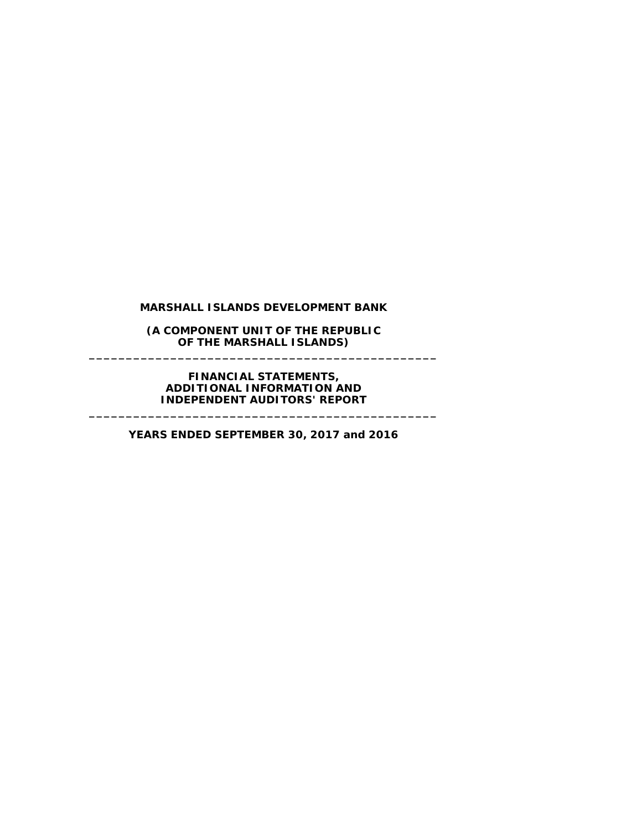**(A COMPONENT UNIT OF THE REPUBLIC OF THE MARSHALL ISLANDS) \_\_\_\_\_\_\_\_\_\_\_\_\_\_\_\_\_\_\_\_\_\_\_\_\_\_\_\_\_\_\_\_\_\_\_\_\_\_\_\_\_\_\_\_\_\_\_**

> **FINANCIAL STATEMENTS, ADDITIONAL INFORMATION AND INDEPENDENT AUDITORS' REPORT**

**\_\_\_\_\_\_\_\_\_\_\_\_\_\_\_\_\_\_\_\_\_\_\_\_\_\_\_\_\_\_\_\_\_\_\_\_\_\_\_\_\_\_\_\_\_\_\_**

**YEARS ENDED SEPTEMBER 30, 2017 and 2016**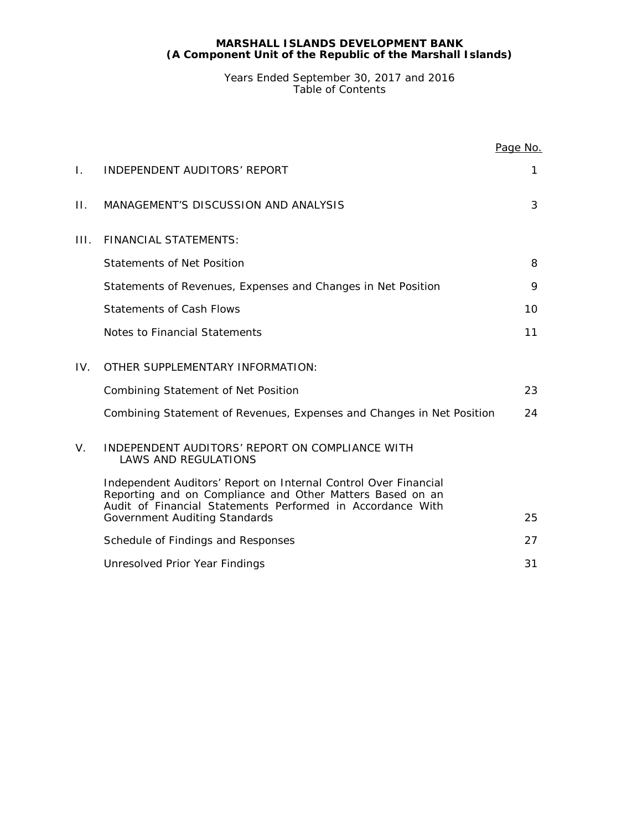#### Years Ended September 30, 2017 and 2016 Table of Contents

|      |                                                                                                                                                                                                                                    | Page No. |
|------|------------------------------------------------------------------------------------------------------------------------------------------------------------------------------------------------------------------------------------|----------|
| Ι.   | INDEPENDENT AUDITORS' REPORT                                                                                                                                                                                                       | 1        |
| Н.   | MANAGEMENT'S DISCUSSION AND ANALYSIS                                                                                                                                                                                               | 3        |
| III. | <b>FINANCIAL STATEMENTS:</b>                                                                                                                                                                                                       |          |
|      | <b>Statements of Net Position</b>                                                                                                                                                                                                  | 8        |
|      | Statements of Revenues, Expenses and Changes in Net Position                                                                                                                                                                       | 9        |
|      | <b>Statements of Cash Flows</b>                                                                                                                                                                                                    | 10       |
|      | Notes to Financial Statements                                                                                                                                                                                                      | 11       |
| IV.  | OTHER SUPPLEMENTARY INFORMATION:                                                                                                                                                                                                   |          |
|      | <b>Combining Statement of Net Position</b>                                                                                                                                                                                         | 23       |
|      | Combining Statement of Revenues, Expenses and Changes in Net Position                                                                                                                                                              | 24       |
| V.   | INDEPENDENT AUDITORS' REPORT ON COMPLIANCE WITH<br><b>LAWS AND REGULATIONS</b>                                                                                                                                                     |          |
|      | Independent Auditors' Report on Internal Control Over Financial<br>Reporting and on Compliance and Other Matters Based on an<br>Audit of Financial Statements Performed in Accordance With<br><b>Government Auditing Standards</b> | 25       |
|      | Schedule of Findings and Responses                                                                                                                                                                                                 | 27       |
|      | Unresolved Prior Year Findings                                                                                                                                                                                                     | 31       |
|      |                                                                                                                                                                                                                                    |          |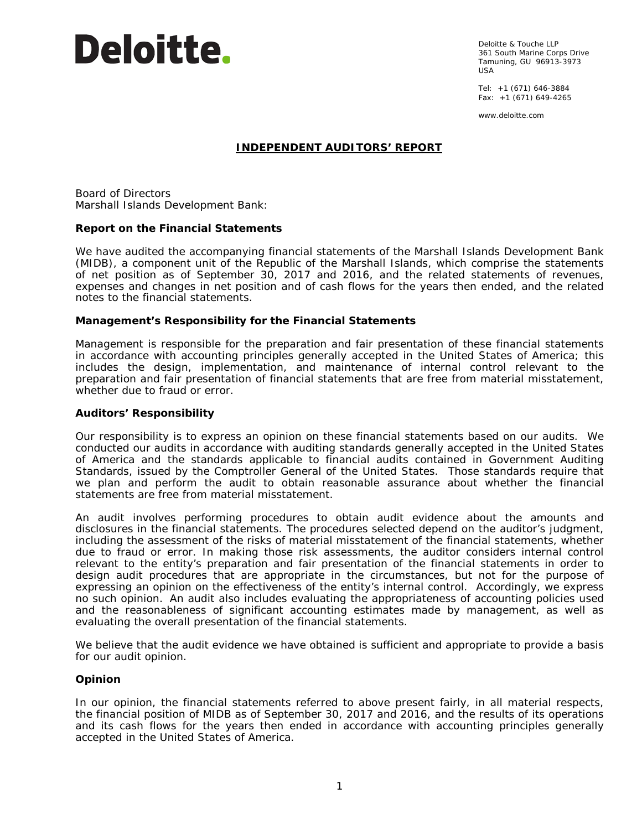

Deloitte & Touche LLP 361 South Marine Corps Drive Tamuning, GU 96913-3973 USA

Tel: +1 (671) 646-3884 Fax: +1 (671) 649-4265

www.deloitte.com

### **INDEPENDENT AUDITORS' REPORT**

Board of Directors Marshall Islands Development Bank:

#### **Report on the Financial Statements**

We have audited the accompanying financial statements of the Marshall Islands Development Bank (MIDB), a component unit of the Republic of the Marshall Islands, which comprise the statements of net position as of September 30, 2017 and 2016, and the related statements of revenues, expenses and changes in net position and of cash flows for the years then ended, and the related notes to the financial statements.

#### *Management's Responsibility for the Financial Statements*

Management is responsible for the preparation and fair presentation of these financial statements in accordance with accounting principles generally accepted in the United States of America; this includes the design, implementation, and maintenance of internal control relevant to the preparation and fair presentation of financial statements that are free from material misstatement, whether due to fraud or error.

#### *Auditors' Responsibility*

Our responsibility is to express an opinion on these financial statements based on our audits. We conducted our audits in accordance with auditing standards generally accepted in the United States of America and the standards applicable to financial audits contained in *Government Auditing Standards,* issued by the Comptroller General of the United States. Those standards require that we plan and perform the audit to obtain reasonable assurance about whether the financial statements are free from material misstatement.

An audit involves performing procedures to obtain audit evidence about the amounts and disclosures in the financial statements. The procedures selected depend on the auditor's judgment, including the assessment of the risks of material misstatement of the financial statements, whether due to fraud or error. In making those risk assessments, the auditor considers internal control relevant to the entity's preparation and fair presentation of the financial statements in order to design audit procedures that are appropriate in the circumstances, but not for the purpose of expressing an opinion on the effectiveness of the entity's internal control. Accordingly, we express no such opinion. An audit also includes evaluating the appropriateness of accounting policies used and the reasonableness of significant accounting estimates made by management, as well as evaluating the overall presentation of the financial statements.

We believe that the audit evidence we have obtained is sufficient and appropriate to provide a basis for our audit opinion.

#### *Opinion*

In our opinion, the financial statements referred to above present fairly, in all material respects, the financial position of MIDB as of September 30, 2017 and 2016, and the results of its operations and its cash flows for the years then ended in accordance with accounting principles generally accepted in the United States of America.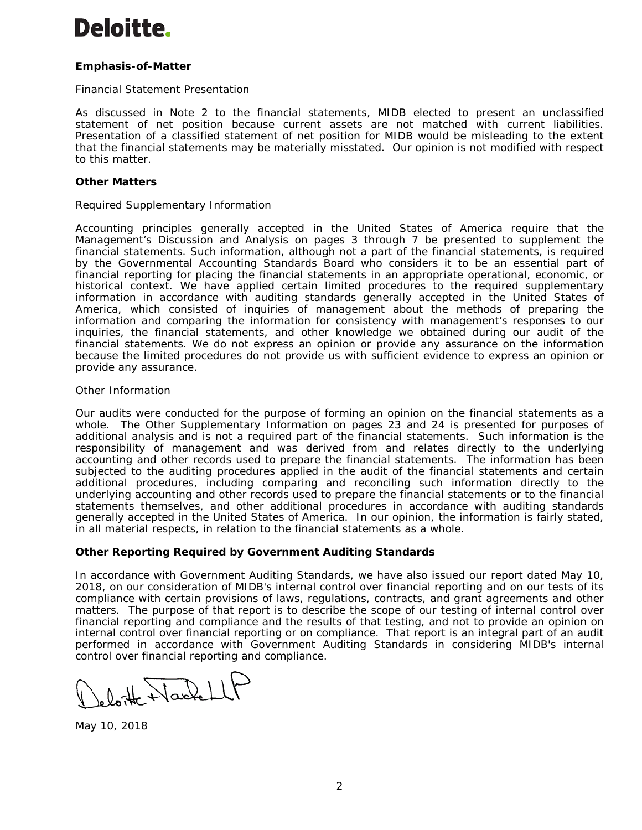# **Deloitte.**

# *Emphasis-of-Matter*

# *Financial Statement Presentation*

As discussed in Note 2 to the financial statements, MIDB elected to present an unclassified statement of net position because current assets are not matched with current liabilities. Presentation of a classified statement of net position for MIDB would be misleading to the extent that the financial statements may be materially misstated. Our opinion is not modified with respect to this matter.

### *Other Matters*

# *Required Supplementary Information*

Accounting principles generally accepted in the United States of America require that the Management's Discussion and Analysis on pages 3 through 7 be presented to supplement the financial statements. Such information, although not a part of the financial statements, is required by the Governmental Accounting Standards Board who considers it to be an essential part of financial reporting for placing the financial statements in an appropriate operational, economic, or historical context. We have applied certain limited procedures to the required supplementary information in accordance with auditing standards generally accepted in the United States of America, which consisted of inquiries of management about the methods of preparing the information and comparing the information for consistency with management's responses to our inquiries, the financial statements, and other knowledge we obtained during our audit of the financial statements. We do not express an opinion or provide any assurance on the information because the limited procedures do not provide us with sufficient evidence to express an opinion or provide any assurance.

#### *Other Information*

Our audits were conducted for the purpose of forming an opinion on the financial statements as a whole. The Other Supplementary Information on pages 23 and 24 is presented for purposes of additional analysis and is not a required part of the financial statements. Such information is the responsibility of management and was derived from and relates directly to the underlying accounting and other records used to prepare the financial statements. The information has been subjected to the auditing procedures applied in the audit of the financial statements and certain additional procedures, including comparing and reconciling such information directly to the underlying accounting and other records used to prepare the financial statements or to the financial statements themselves, and other additional procedures in accordance with auditing standards generally accepted in the United States of America. In our opinion, the information is fairly stated, in all material respects, in relation to the financial statements as a whole.

# **Other Reporting Required by** *Government Auditing Standards*

In accordance with *Government Auditing Standards*, we have also issued our report dated May 10, 2018, on our consideration of MIDB's internal control over financial reporting and on our tests of its compliance with certain provisions of laws, regulations, contracts, and grant agreements and other matters. The purpose of that report is to describe the scope of our testing of internal control over financial reporting and compliance and the results of that testing, and not to provide an opinion on internal control over financial reporting or on compliance. That report is an integral part of an audit performed in accordance with *Government Auditing Standards* in considering MIDB's internal control over financial reporting and compliance.

loite Nachell

May 10, 2018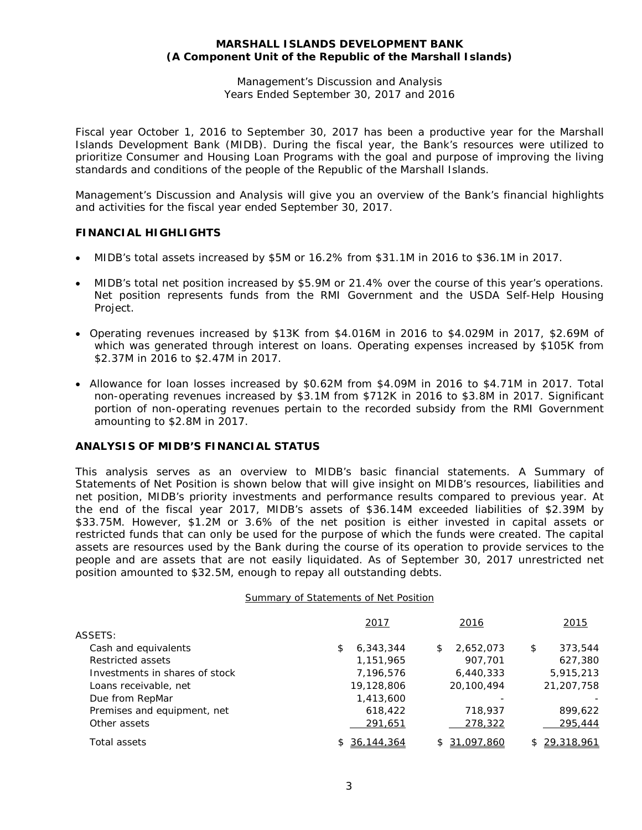Management's Discussion and Analysis Years Ended September 30, 2017 and 2016

Fiscal year October 1, 2016 to September 30, 2017 has been a productive year for the Marshall Islands Development Bank (MIDB). During the fiscal year, the Bank's resources were utilized to prioritize Consumer and Housing Loan Programs with the goal and purpose of improving the living standards and conditions of the people of the Republic of the Marshall Islands.

Management's Discussion and Analysis will give you an overview of the Bank's financial highlights and activities for the fiscal year ended September 30, 2017.

# **FINANCIAL HIGHLIGHTS**

- MIDB's total assets increased by \$5M or 16.2% from \$31.1M in 2016 to \$36.1M in 2017.
- MIDB's total net position increased by \$5.9M or 21.4% over the course of this year's operations. Net position represents funds from the RMI Government and the USDA Self-Help Housing Project.
- Operating revenues increased by \$13K from \$4.016M in 2016 to \$4.029M in 2017, \$2.69M of which was generated through interest on loans. Operating expenses increased by \$105K from \$2.37M in 2016 to \$2.47M in 2017.
- Allowance for loan losses increased by \$0.62M from \$4.09M in 2016 to \$4.71M in 2017. Total non-operating revenues increased by \$3.1M from \$712K in 2016 to \$3.8M in 2017. Significant portion of non-operating revenues pertain to the recorded subsidy from the RMI Government amounting to \$2.8M in 2017.

# **ANALYSIS OF MIDB'S FINANCIAL STATUS**

This analysis serves as an overview to MIDB's basic financial statements. A Summary of Statements of Net Position is shown below that will give insight on MIDB's resources, liabilities and net position, MIDB's priority investments and performance results compared to previous year. At the end of the fiscal year 2017, MIDB's assets of \$36.14M exceeded liabilities of \$2.39M by \$33.75M. However, \$1.2M or 3.6% of the net position is either invested in capital assets or restricted funds that can only be used for the purpose of which the funds were created. The capital assets are resources used by the Bank during the course of its operation to provide services to the people and are assets that are not easily liquidated. As of September 30, 2017 unrestricted net position amounted to \$32.5M, enough to repay all outstanding debts.

#### Summary of Statements of Net Position

|                                | 2017            | 2016             | 2015             |
|--------------------------------|-----------------|------------------|------------------|
| ASSETS:                        |                 |                  |                  |
| Cash and equivalents           | 6,343,344<br>\$ | 2,652,073<br>\$. | 373.544<br>\$    |
| Restricted assets              | 1,151,965       | 907,701          | 627,380          |
| Investments in shares of stock | 7.196.576       | 6,440,333        | 5,915,213        |
| Loans receivable, net          | 19,128,806      | 20,100,494       | 21,207,758       |
| Due from RepMar                | 1,413,600       |                  |                  |
| Premises and equipment, net    | 618,422         | 718,937          | 899,622          |
| Other assets                   | 291.651         | 278,322          | 295,444          |
| Total assets                   | 36.144.364      | 31.097.860       | 29,318,961<br>\$ |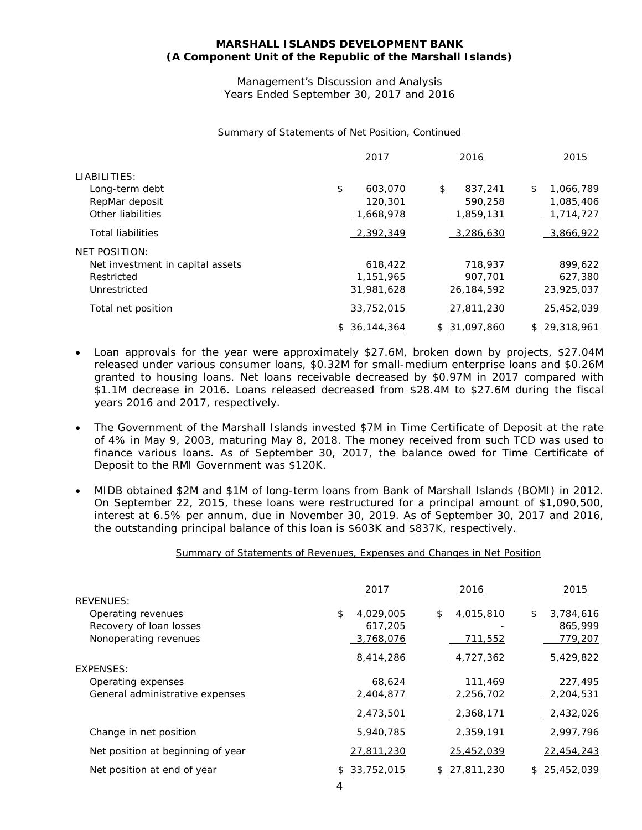Management's Discussion and Analysis Years Ended September 30, 2017 and 2016

#### Summary of Statements of Net Position, Continued

|                                  | 2017          | 2016          | 2015             |
|----------------------------------|---------------|---------------|------------------|
| LIABILITIES:                     |               |               |                  |
| Long-term debt                   | \$<br>603,070 | \$<br>837,241 | 1,066,789<br>\$  |
| RepMar deposit                   | 120,301       | 590.258       | 1,085,406        |
| Other liabilities                | 1,668,978     | 1,859,131     | 1,714,727        |
| <b>Total liabilities</b>         | 2,392,349     | 3,286,630     | 3,866,922        |
| <b>NET POSITION:</b>             |               |               |                  |
| Net investment in capital assets | 618,422       | 718,937       | 899.622          |
| Restricted                       | 1,151,965     | 907.701       | 627,380          |
| Unrestricted                     | 31,981,628    | 26,184,592    | 23,925,037       |
| Total net position               | 33,752,015    | 27,811,230    | 25,452,039       |
|                                  | 36.144.364    | 31,097,860    | 29,318.961<br>\$ |

• Loan approvals for the year were approximately \$27.6M, broken down by projects, \$27.04M released under various consumer loans, \$0.32M for small-medium enterprise loans and \$0.26M granted to housing loans. Net loans receivable decreased by \$0.97M in 2017 compared with \$1.1M decrease in 2016. Loans released decreased from \$28.4M to \$27.6M during the fiscal years 2016 and 2017, respectively.

- The Government of the Marshall Islands invested \$7M in Time Certificate of Deposit at the rate of 4% in May 9, 2003, maturing May 8, 2018. The money received from such TCD was used to finance various loans. As of September 30, 2017, the balance owed for Time Certificate of Deposit to the RMI Government was \$120K.
- MIDB obtained \$2M and \$1M of long-term loans from Bank of Marshall Islands (BOMI) in 2012. On September 22, 2015, these loans were restructured for a principal amount of \$1,090,500, interest at 6.5% per annum, due in November 30, 2019. As of September 30, 2017 and 2016, the outstanding principal balance of this loan is \$603K and \$837K, respectively.

#### Summary of Statements of Revenues, Expenses and Changes in Net Position

|                                   | 2017            | 2016            | 2015            |
|-----------------------------------|-----------------|-----------------|-----------------|
| REVENUES:                         |                 |                 |                 |
| Operating revenues                | 4,029,005<br>\$ | 4,015,810<br>\$ | \$<br>3,784,616 |
| Recovery of loan losses           | 617,205         |                 | 865,999         |
| Nonoperating revenues             | 3,768,076       | 711,552         | 779,207         |
|                                   | 8,414,286       | 4,727,362       | 5,429,822       |
| EXPENSES:                         |                 |                 |                 |
| Operating expenses                | 68,624          | 111,469         | 227,495         |
| General administrative expenses   | 2,404,877       | 2,256,702       | 2,204,531       |
|                                   | 2,473,501       | 2,368,171       | 2,432,026       |
| Change in net position            | 5,940,785       | 2.359.191       | 2,997,796       |
| Net position at beginning of year | 27,811,230      | 25,452,039      | 22,454,243      |
| Net position at end of year       | 33,752,015      | 27,811,230      | 25,452,039<br>S |
|                                   |                 |                 |                 |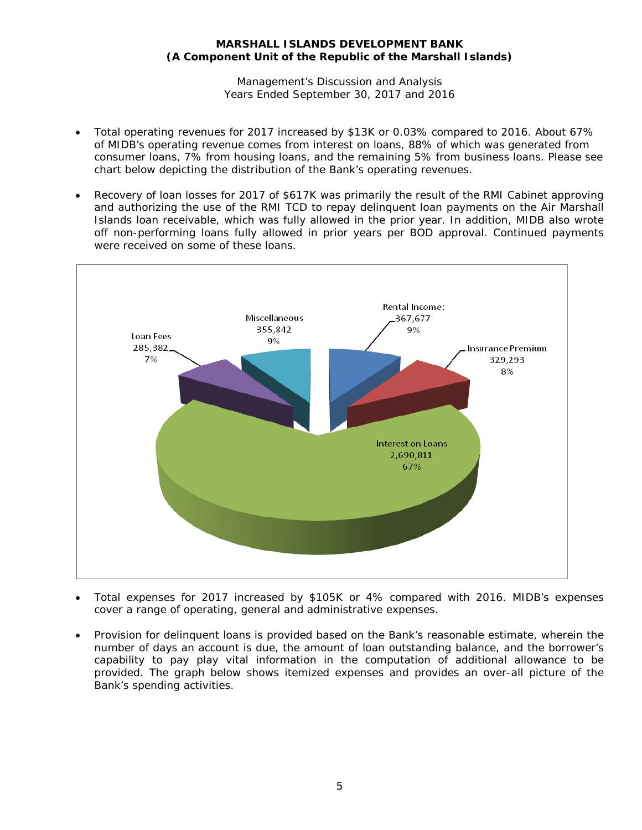Management's Discussion and Analysis Years Ended September 30, 2017 and 2016

- Total operating revenues for 2017 increased by \$13K or 0.03% compared to 2016. About 67% of MIDB's operating revenue comes from interest on loans, 88% of which was generated from consumer loans, 7% from housing loans, and the remaining 5% from business loans. Please see chart below depicting the distribution of the Bank's operating revenues.
- Recovery of loan losses for 2017 of \$617K was primarily the result of the RMI Cabinet approving and authorizing the use of the RMI TCD to repay delinquent loan payments on the Air Marshall Islands loan receivable, which was fully allowed in the prior year. In addition, MIDB also wrote off non-performing loans fully allowed in prior years per BOD approval. Continued payments were received on some of these loans.



- Total expenses for 2017 increased by \$105K or 4% compared with 2016. MIDB's expenses cover a range of operating, general and administrative expenses.
- Provision for delinquent loans is provided based on the Bank's reasonable estimate, wherein the number of days an account is due, the amount of loan outstanding balance, and the borrower's capability to pay play vital information in the computation of additional allowance to be provided. The graph below shows itemized expenses and provides an over-all picture of the Bank's spending activities.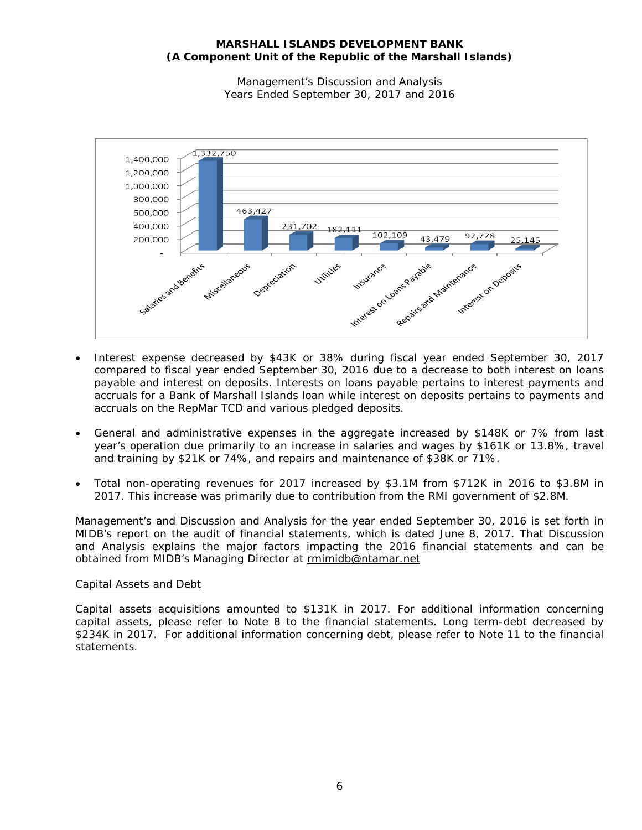Management's Discussion and Analysis Years Ended September 30, 2017 and 2016



- Interest expense decreased by \$43K or 38% during fiscal year ended September 30, 2017 compared to fiscal year ended September 30, 2016 due to a decrease to both interest on loans payable and interest on deposits. Interests on loans payable pertains to interest payments and accruals for a Bank of Marshall Islands loan while interest on deposits pertains to payments and accruals on the RepMar TCD and various pledged deposits.
- General and administrative expenses in the aggregate increased by \$148K or 7% from last year's operation due primarily to an increase in salaries and wages by \$161K or 13.8%, travel and training by \$21K or 74%, and repairs and maintenance of \$38K or 71%.
- Total non-operating revenues for 2017 increased by \$3.1M from \$712K in 2016 to \$3.8M in 2017. This increase was primarily due to contribution from the RMI government of \$2.8M.

Management's and Discussion and Analysis for the year ended September 30, 2016 is set forth in MIDB's report on the audit of financial statements, which is dated June 8, 2017. That Discussion and Analysis explains the major factors impacting the 2016 financial statements and can be obtained from MIDB's Managing Director at **rmimidb@ntamar.net** 

# Capital Assets and Debt

Capital assets acquisitions amounted to \$131K in 2017. For additional information concerning capital assets, please refer to Note 8 to the financial statements. Long term-debt decreased by \$234K in 2017. For additional information concerning debt, please refer to Note 11 to the financial statements.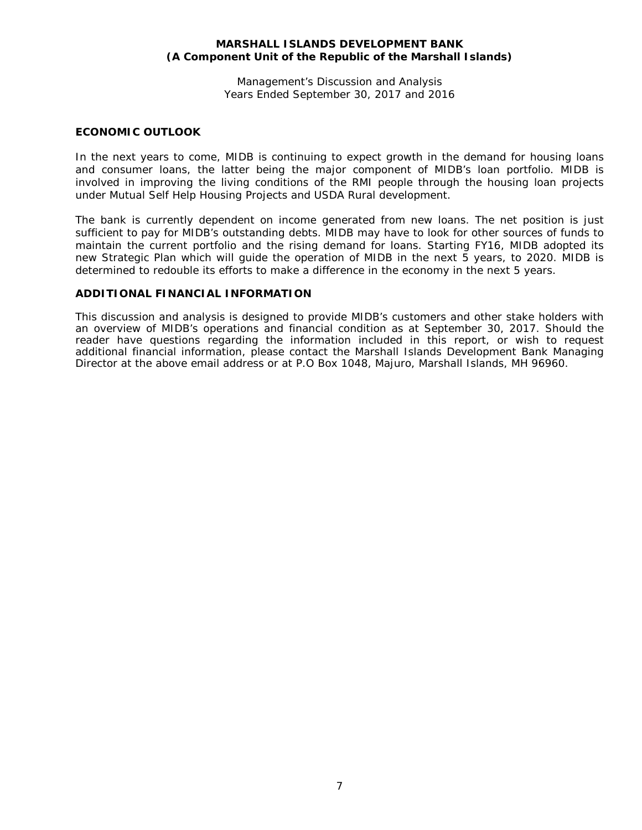Management's Discussion and Analysis Years Ended September 30, 2017 and 2016

### **ECONOMIC OUTLOOK**

In the next years to come, MIDB is continuing to expect growth in the demand for housing loans and consumer loans, the latter being the major component of MIDB's loan portfolio. MIDB is involved in improving the living conditions of the RMI people through the housing loan projects under Mutual Self Help Housing Projects and USDA Rural development.

The bank is currently dependent on income generated from new loans. The net position is just sufficient to pay for MIDB's outstanding debts. MIDB may have to look for other sources of funds to maintain the current portfolio and the rising demand for loans. Starting FY16, MIDB adopted its new Strategic Plan which will guide the operation of MIDB in the next 5 years, to 2020. MIDB is determined to redouble its efforts to make a difference in the economy in the next 5 years.

# **ADDITIONAL FINANCIAL INFORMATION**

This discussion and analysis is designed to provide MIDB's customers and other stake holders with an overview of MIDB's operations and financial condition as at September 30, 2017. Should the reader have questions regarding the information included in this report, or wish to request additional financial information, please contact the Marshall Islands Development Bank Managing Director at the above email address or at P.O Box 1048, Majuro, Marshall Islands, MH 96960.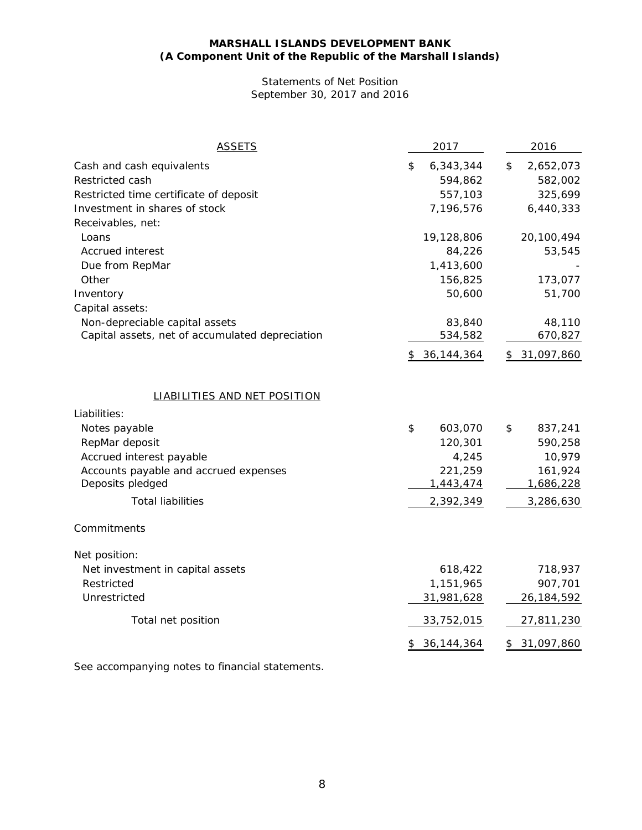Statements of Net Position September 30, 2017 and 2016

| <b>ASSETS</b>                                   | 2017               | 2016             |
|-------------------------------------------------|--------------------|------------------|
| Cash and cash equivalents                       | \$<br>6,343,344    | \$<br>2,652,073  |
| Restricted cash                                 | 594,862            | 582,002          |
| Restricted time certificate of deposit          | 557,103            | 325,699          |
| Investment in shares of stock                   | 7,196,576          | 6,440,333        |
| Receivables, net:                               |                    |                  |
| Loans                                           | 19,128,806         | 20,100,494       |
| <b>Accrued interest</b>                         | 84,226             | 53,545           |
| Due from RepMar                                 | 1,413,600          |                  |
| Other                                           | 156,825            | 173,077          |
| Inventory                                       | 50,600             | 51,700           |
| Capital assets:                                 |                    |                  |
| Non-depreciable capital assets                  | 83,840             | 48,110           |
| Capital assets, net of accumulated depreciation | 534,582            | 670,827          |
|                                                 | 36, 144, 364<br>S. | 31,097,860<br>\$ |
| <b>LIABILITIES AND NET POSITION</b>             |                    |                  |
| Liabilities:                                    |                    |                  |
| Notes payable                                   | \$<br>603,070      | \$<br>837,241    |
| RepMar deposit                                  | 120,301            | 590,258          |
| Accrued interest payable                        | 4,245              | 10,979           |
| Accounts payable and accrued expenses           | 221,259            | 161,924          |
| Deposits pledged                                | 1,443,474          | 1,686,228        |
| <b>Total liabilities</b>                        | 2,392,349          | 3,286,630        |
| Commitments                                     |                    |                  |
| Net position:                                   |                    |                  |
| Net investment in capital assets                | 618,422            | 718,937          |
| Restricted                                      | 1,151,965          | 907,701          |
| Unrestricted                                    | 31,981,628         | 26, 184, 592     |
| Total net position                              | 33,752,015         | 27,811,230       |
|                                                 | 36,144,364         | 31,097,860<br>\$ |
|                                                 |                    |                  |

See accompanying notes to financial statements.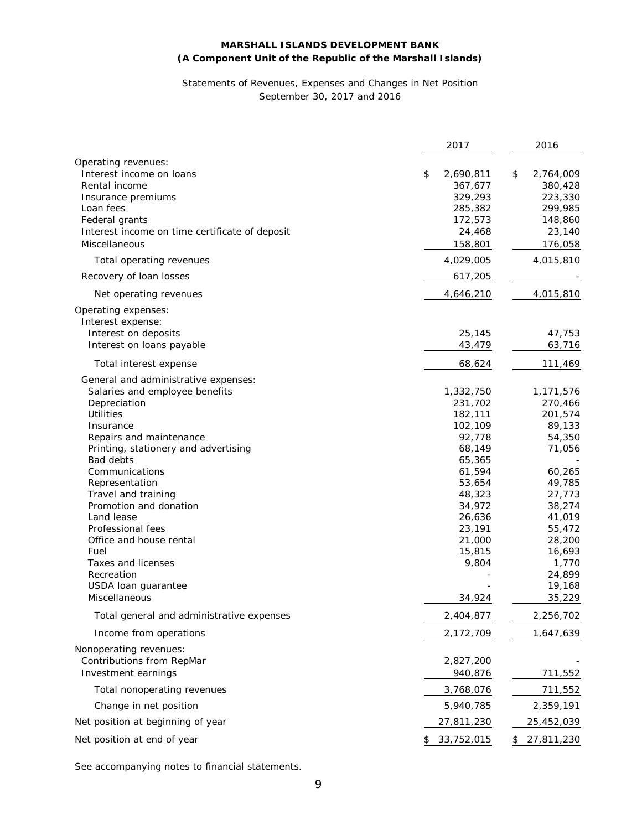# Statements of Revenues, Expenses and Changes in Net Position September 30, 2017 and 2016

|                                                                  | 2017                       | 2016                       |
|------------------------------------------------------------------|----------------------------|----------------------------|
| Operating revenues:<br>Interest income on loans<br>Rental income | \$<br>2,690,811<br>367,677 | 2,764,009<br>\$<br>380,428 |
| Insurance premiums                                               | 329,293                    | 223,330                    |
| Loan fees                                                        | 285,382                    | 299,985                    |
| Federal grants                                                   | 172,573                    | 148,860                    |
| Interest income on time certificate of deposit                   | 24,468                     | 23,140                     |
| Miscellaneous                                                    | 158,801                    | 176,058                    |
| Total operating revenues                                         | 4,029,005                  | 4,015,810                  |
| Recovery of loan losses                                          | 617,205                    |                            |
| Net operating revenues                                           | 4,646,210                  | 4,015,810                  |
| Operating expenses:<br>Interest expense:                         |                            |                            |
| Interest on deposits                                             | 25,145                     | 47,753                     |
| Interest on loans payable                                        | 43,479                     | 63,716                     |
| Total interest expense                                           | 68,624                     | 111,469                    |
| General and administrative expenses:                             |                            |                            |
| Salaries and employee benefits                                   | 1,332,750                  | 1,171,576                  |
| Depreciation                                                     | 231,702                    | 270,466                    |
| <b>Utilities</b>                                                 | 182,111                    | 201,574                    |
| Insurance                                                        | 102,109<br>92,778          | 89,133                     |
| Repairs and maintenance                                          |                            | 54,350                     |
| Printing, stationery and advertising<br>Bad debts                | 68,149<br>65,365           | 71,056                     |
| Communications                                                   | 61,594                     | 60,265                     |
| Representation                                                   | 53,654                     | 49,785                     |
| Travel and training                                              | 48,323                     | 27,773                     |
| Promotion and donation                                           | 34,972                     | 38,274                     |
| Land lease                                                       | 26,636                     | 41,019                     |
| Professional fees                                                | 23,191                     | 55,472                     |
| Office and house rental                                          | 21,000                     | 28,200                     |
| Fuel                                                             | 15,815                     | 16,693                     |
| <b>Taxes and licenses</b>                                        | 9,804                      | 1,770                      |
| Recreation                                                       |                            | 24,899                     |
| USDA loan guarantee                                              |                            | 19,168                     |
| Miscellaneous                                                    | 34,924                     | 35,229                     |
| Total general and administrative expenses                        | 2,404,877                  | 2,256,702                  |
| Income from operations                                           | 2,172,709                  | 1,647,639                  |
| Nonoperating revenues:                                           |                            |                            |
| Contributions from RepMar                                        | 2,827,200                  |                            |
| Investment earnings                                              | 940,876                    | 711,552                    |
| Total nonoperating revenues                                      | 3,768,076                  | 711,552                    |
| Change in net position                                           | 5,940,785                  | 2,359,191                  |
| Net position at beginning of year                                | 27,811,230                 | 25,452,039                 |
| Net position at end of year                                      | 33,752,015<br>\$           | \$<br>27,811,230           |

See accompanying notes to financial statements.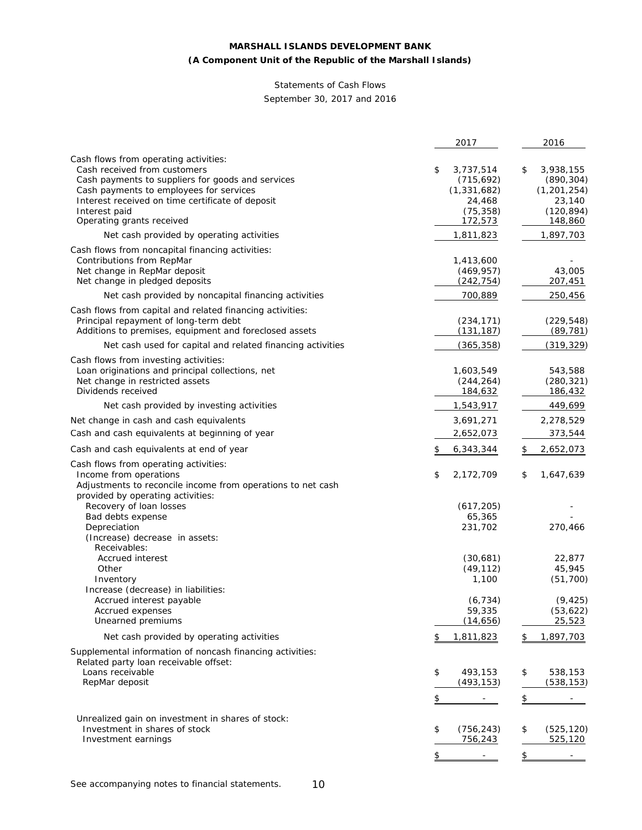# Statements of Cash Flows

September 30, 2017 and 2016

|                                                                                                                                                                                                                                                                         | 2017                                                                             | 2016                                                                              |
|-------------------------------------------------------------------------------------------------------------------------------------------------------------------------------------------------------------------------------------------------------------------------|----------------------------------------------------------------------------------|-----------------------------------------------------------------------------------|
| Cash flows from operating activities:<br>Cash received from customers<br>Cash payments to suppliers for goods and services<br>Cash payments to employees for services<br>Interest received on time certificate of deposit<br>Interest paid<br>Operating grants received | 3,737,514<br>\$<br>(715, 692)<br>(1, 331, 682)<br>24,468<br>(75, 358)<br>172,573 | \$<br>3,938,155<br>(890, 304)<br>(1, 201, 254)<br>23,140<br>(120, 894)<br>148,860 |
| Net cash provided by operating activities                                                                                                                                                                                                                               | 1,811,823                                                                        | 1,897,703                                                                         |
| Cash flows from noncapital financing activities:<br>Contributions from RepMar<br>Net change in RepMar deposit<br>Net change in pledged deposits                                                                                                                         | 1,413,600<br>(469, 957)<br>(242, 754)                                            | 43,005<br>207,451                                                                 |
| Net cash provided by noncapital financing activities                                                                                                                                                                                                                    | 700,889                                                                          | 250,456                                                                           |
| Cash flows from capital and related financing activities:<br>Principal repayment of long-term debt<br>Additions to premises, equipment and foreclosed assets                                                                                                            | (234, 171)<br>(131, 187)                                                         | (229, 548)<br>(89, 781)                                                           |
| Net cash used for capital and related financing activities                                                                                                                                                                                                              | (365, 358)                                                                       | (319, 329)                                                                        |
| Cash flows from investing activities:<br>Loan originations and principal collections, net<br>Net change in restricted assets<br>Dividends received                                                                                                                      | 1,603,549<br>(244, 264)<br>184,632                                               | 543,588<br>(280, 321)<br>186,432                                                  |
| Net cash provided by investing activities                                                                                                                                                                                                                               | 1,543,917                                                                        | 449,699                                                                           |
| Net change in cash and cash equivalents                                                                                                                                                                                                                                 | 3,691,271                                                                        | 2,278,529                                                                         |
| Cash and cash equivalents at beginning of year                                                                                                                                                                                                                          | 2,652,073                                                                        | 373,544                                                                           |
| Cash and cash equivalents at end of year                                                                                                                                                                                                                                | \$<br>6,343,344                                                                  | 2,652,073<br>\$                                                                   |
| Cash flows from operating activities:<br>Income from operations<br>Adjustments to reconcile income from operations to net cash<br>provided by operating activities:                                                                                                     | 2,172,709<br>\$                                                                  | \$<br>1,647,639                                                                   |
| Recovery of loan losses<br>Bad debts expense<br>Depreciation<br>(Increase) decrease in assets:                                                                                                                                                                          | (617, 205)<br>65,365<br>231,702                                                  | 270,466                                                                           |
| Receivables:<br>Accrued interest<br>Other<br>Inventory<br>Increase (decrease) in liabilities:                                                                                                                                                                           | (30,681)<br>(49, 112)<br>1,100                                                   | 22,877<br>45,945<br>(51, 700)<br>(9, 425)                                         |
| Accrued interest payable<br>Accrued expenses<br>Unearned premiums                                                                                                                                                                                                       | (6, 734)<br>59,335<br>(14, 656)                                                  | (53, 622)<br>25,523                                                               |
| Net cash provided by operating activities                                                                                                                                                                                                                               | 1,811,823<br>\$                                                                  | 1,897,703<br>\$                                                                   |
| Supplemental information of noncash financing activities:<br>Related party loan receivable offset:<br>Loans receivable                                                                                                                                                  | 493,153<br>\$                                                                    | 538,153<br>\$                                                                     |
| RepMar deposit                                                                                                                                                                                                                                                          | (493, 153)                                                                       | (538, 153)                                                                        |
|                                                                                                                                                                                                                                                                         | \$<br>$\overline{\phantom{a}}$                                                   | \$<br>$\overline{\phantom{a}}$                                                    |
| Unrealized gain on investment in shares of stock:                                                                                                                                                                                                                       |                                                                                  |                                                                                   |
| Investment in shares of stock<br>Investment earnings                                                                                                                                                                                                                    | \$<br>(756, 243)<br>756,243                                                      | \$<br>(525, 120)<br>525,120                                                       |
|                                                                                                                                                                                                                                                                         | \$                                                                               | \$<br>$\overline{\phantom{a}}$                                                    |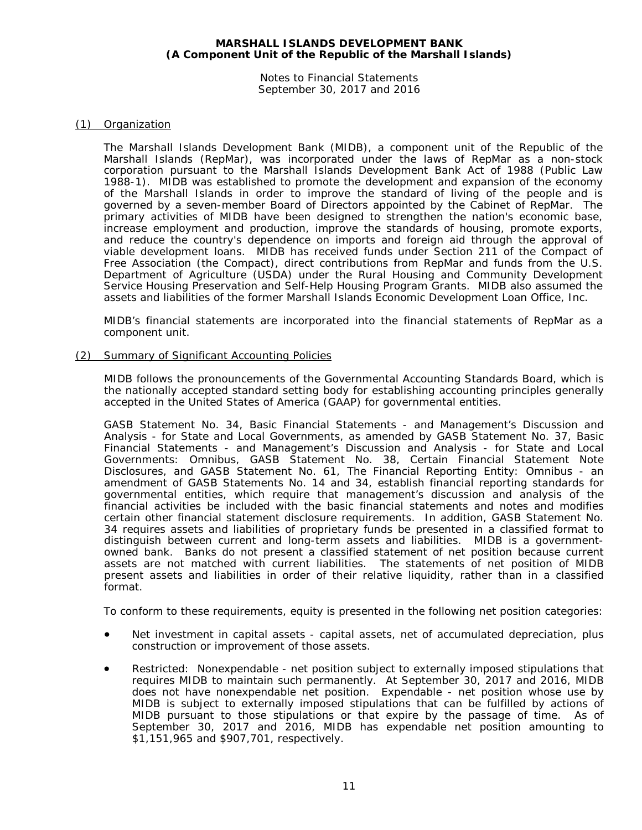Notes to Financial Statements September 30, 2017 and 2016

#### (1) Organization

The Marshall Islands Development Bank (MIDB), a component unit of the Republic of the Marshall Islands (RepMar), was incorporated under the laws of RepMar as a non-stock corporation pursuant to the Marshall Islands Development Bank Act of 1988 (Public Law 1988-1). MIDB was established to promote the development and expansion of the economy of the Marshall Islands in order to improve the standard of living of the people and is governed by a seven-member Board of Directors appointed by the Cabinet of RepMar. The primary activities of MIDB have been designed to strengthen the nation's economic base, increase employment and production, improve the standards of housing, promote exports, and reduce the country's dependence on imports and foreign aid through the approval of viable development loans. MIDB has received funds under Section 211 of the Compact of Free Association (the Compact), direct contributions from RepMar and funds from the U.S. Department of Agriculture (USDA) under the Rural Housing and Community Development Service Housing Preservation and Self-Help Housing Program Grants. MIDB also assumed the assets and liabilities of the former Marshall Islands Economic Development Loan Office, Inc.

MIDB's financial statements are incorporated into the financial statements of RepMar as a component unit.

#### (2) Summary of Significant Accounting Policies

MIDB follows the pronouncements of the Governmental Accounting Standards Board, which is the nationally accepted standard setting body for establishing accounting principles generally accepted in the United States of America (GAAP) for governmental entities.

GASB Statement No. 34, *Basic Financial Statements - and Management's Discussion and Analysis - for State and Local Governments*, as amended by GASB Statement No. 37, *Basic Financial Statements - and Management's Discussion and Analysis - for State and Local Governments: Omnibus*, GASB Statement No. 38, *Certain Financial Statement Note Disclosures*, and GASB Statement No. 61, *The Financial Reporting Entity: Omnibus - an amendment of GASB Statements No. 14 and 34*, establish financial reporting standards for governmental entities, which require that management's discussion and analysis of the financial activities be included with the basic financial statements and notes and modifies certain other financial statement disclosure requirements. In addition, GASB Statement No. 34 requires assets and liabilities of proprietary funds be presented in a classified format to distinguish between current and long-term assets and liabilities. MIDB is a governmentowned bank. Banks do not present a classified statement of net position because current assets are not matched with current liabilities. The statements of net position of MIDB present assets and liabilities in order of their relative liquidity, rather than in a classified format.

To conform to these requirements, equity is presented in the following net position categories:

- Net investment in capital assets capital assets, net of accumulated depreciation, plus construction or improvement of those assets.
- Restricted: Nonexpendable net position subject to externally imposed stipulations that requires MIDB to maintain such permanently. At September 30, 2017 and 2016, MIDB does not have nonexpendable net position. Expendable - net position whose use by MIDB is subject to externally imposed stipulations that can be fulfilled by actions of MIDB pursuant to those stipulations or that expire by the passage of time. As of September 30, 2017 and 2016, MIDB has expendable net position amounting to \$1,151,965 and \$907,701, respectively.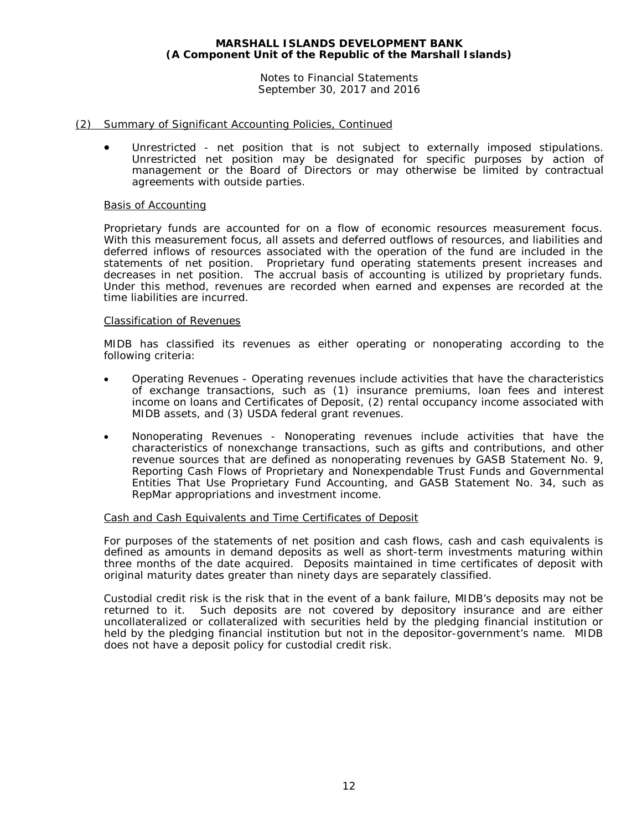Notes to Financial Statements September 30, 2017 and 2016

#### (2) Summary of Significant Accounting Policies, Continued

• Unrestricted - net position that is not subject to externally imposed stipulations. Unrestricted net position may be designated for specific purposes by action of management or the Board of Directors or may otherwise be limited by contractual agreements with outside parties.

#### Basis of Accounting

Proprietary funds are accounted for on a flow of economic resources measurement focus. With this measurement focus, all assets and deferred outflows of resources, and liabilities and deferred inflows of resources associated with the operation of the fund are included in the statements of net position. Proprietary fund operating statements present increases and decreases in net position. The accrual basis of accounting is utilized by proprietary funds. Under this method, revenues are recorded when earned and expenses are recorded at the time liabilities are incurred.

#### Classification of Revenues

MIDB has classified its revenues as either operating or nonoperating according to the following criteria:

- *Operating Revenues* Operating revenues include activities that have the characteristics of exchange transactions, such as (1) insurance premiums, loan fees and interest income on loans and Certificates of Deposit, (2) rental occupancy income associated with MIDB assets, and (3) USDA federal grant revenues.
- *Nonoperating Revenues* Nonoperating revenues include activities that have the characteristics of nonexchange transactions, such as gifts and contributions, and other revenue sources that are defined as nonoperating revenues by GASB Statement No. 9, *Reporting Cash Flows of Proprietary and Nonexpendable Trust Funds and Governmental Entities That Use Proprietary Fund Accounting*, and GASB Statement No. 34, such as RepMar appropriations and investment income.

#### Cash and Cash Equivalents and Time Certificates of Deposit

For purposes of the statements of net position and cash flows, cash and cash equivalents is defined as amounts in demand deposits as well as short-term investments maturing within three months of the date acquired. Deposits maintained in time certificates of deposit with original maturity dates greater than ninety days are separately classified.

Custodial credit risk is the risk that in the event of a bank failure, MIDB's deposits may not be returned to it. Such deposits are not covered by depository insurance and are either uncollateralized or collateralized with securities held by the pledging financial institution or held by the pledging financial institution but not in the depositor-government's name. MIDB does not have a deposit policy for custodial credit risk.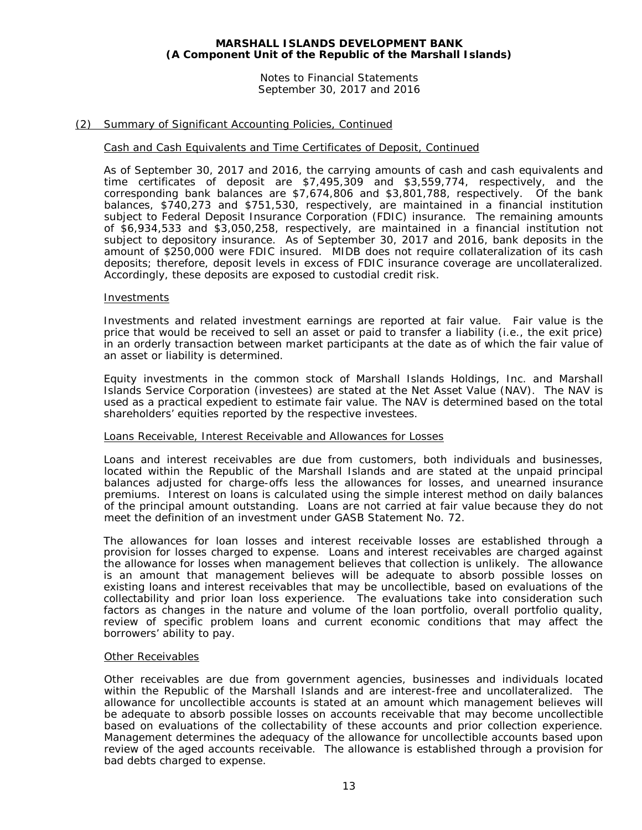Notes to Financial Statements September 30, 2017 and 2016

### (2) Summary of Significant Accounting Policies, Continued

#### Cash and Cash Equivalents and Time Certificates of Deposit, Continued

As of September 30, 2017 and 2016, the carrying amounts of cash and cash equivalents and time certificates of deposit are \$7,495,309 and \$3,559,774, respectively, and the corresponding bank balances are \$7,674,806 and \$3,801,788, respectively. Of the bank balances, \$740,273 and \$751,530, respectively, are maintained in a financial institution subject to Federal Deposit Insurance Corporation (FDIC) insurance. The remaining amounts of \$6,934,533 and \$3,050,258, respectively, are maintained in a financial institution not subject to depository insurance. As of September 30, 2017 and 2016, bank deposits in the amount of \$250,000 were FDIC insured. MIDB does not require collateralization of its cash deposits; therefore, deposit levels in excess of FDIC insurance coverage are uncollateralized. Accordingly, these deposits are exposed to custodial credit risk.

#### Investments

Investments and related investment earnings are reported at fair value. Fair value is the price that would be received to sell an asset or paid to transfer a liability (i.e., the exit price) in an orderly transaction between market participants at the date as of which the fair value of an asset or liability is determined.

Equity investments in the common stock of Marshall Islands Holdings, Inc. and Marshall Islands Service Corporation (investees) are stated at the Net Asset Value (NAV). The NAV is used as a practical expedient to estimate fair value. The NAV is determined based on the total shareholders' equities reported by the respective investees.

#### Loans Receivable, Interest Receivable and Allowances for Losses

Loans and interest receivables are due from customers, both individuals and businesses, located within the Republic of the Marshall Islands and are stated at the unpaid principal balances adjusted for charge-offs less the allowances for losses, and unearned insurance premiums. Interest on loans is calculated using the simple interest method on daily balances of the principal amount outstanding. Loans are not carried at fair value because they do not meet the definition of an investment under GASB Statement No. 72.

The allowances for loan losses and interest receivable losses are established through a provision for losses charged to expense. Loans and interest receivables are charged against the allowance for losses when management believes that collection is unlikely. The allowance is an amount that management believes will be adequate to absorb possible losses on existing loans and interest receivables that may be uncollectible, based on evaluations of the collectability and prior loan loss experience. The evaluations take into consideration such factors as changes in the nature and volume of the loan portfolio, overall portfolio quality, review of specific problem loans and current economic conditions that may affect the borrowers' ability to pay.

#### Other Receivables

Other receivables are due from government agencies, businesses and individuals located within the Republic of the Marshall Islands and are interest-free and uncollateralized. The allowance for uncollectible accounts is stated at an amount which management believes will be adequate to absorb possible losses on accounts receivable that may become uncollectible based on evaluations of the collectability of these accounts and prior collection experience. Management determines the adequacy of the allowance for uncollectible accounts based upon review of the aged accounts receivable. The allowance is established through a provision for bad debts charged to expense.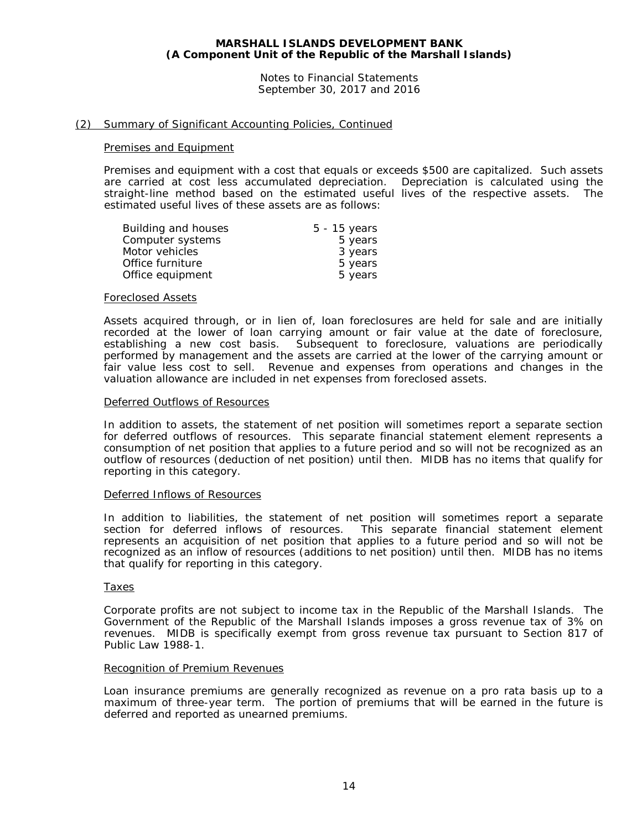Notes to Financial Statements September 30, 2017 and 2016

#### (2) Summary of Significant Accounting Policies, Continued

#### Premises and Equipment

Premises and equipment with a cost that equals or exceeds \$500 are capitalized. Such assets are carried at cost less accumulated depreciation. Depreciation is calculated using the straight-line method based on the estimated useful lives of the respective assets. The estimated useful lives of these assets are as follows:

| Building and houses | $5 - 15$ years |
|---------------------|----------------|
| Computer systems    | 5 years        |
| Motor vehicles      | 3 years        |
| Office furniture    | 5 years        |
| Office equipment    | 5 years        |

#### Foreclosed Assets

Assets acquired through, or in lien of, loan foreclosures are held for sale and are initially recorded at the lower of loan carrying amount or fair value at the date of foreclosure, establishing a new cost basis. Subsequent to foreclosure, valuations are periodically performed by management and the assets are carried at the lower of the carrying amount or fair value less cost to sell. Revenue and expenses from operations and changes in the valuation allowance are included in net expenses from foreclosed assets.

#### Deferred Outflows of Resources

In addition to assets, the statement of net position will sometimes report a separate section for deferred outflows of resources. This separate financial statement element represents a consumption of net position that applies to a future period and so will not be recognized as an outflow of resources (deduction of net position) until then. MIDB has no items that qualify for reporting in this category.

#### Deferred Inflows of Resources

In addition to liabilities, the statement of net position will sometimes report a separate section for deferred inflows of resources. This separate financial statement element represents an acquisition of net position that applies to a future period and so will not be recognized as an inflow of resources (additions to net position) until then. MIDB has no items that qualify for reporting in this category.

#### **Taxes**

Corporate profits are not subject to income tax in the Republic of the Marshall Islands. The Government of the Republic of the Marshall Islands imposes a gross revenue tax of 3% on revenues. MIDB is specifically exempt from gross revenue tax pursuant to Section 817 of Public Law 1988-1.

#### Recognition of Premium Revenues

Loan insurance premiums are generally recognized as revenue on a pro rata basis up to a maximum of three-year term. The portion of premiums that will be earned in the future is deferred and reported as unearned premiums.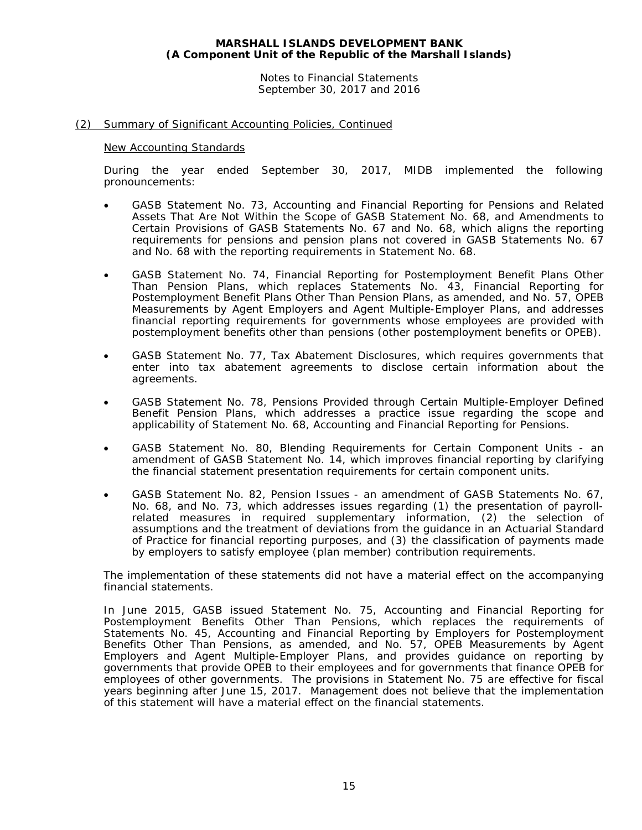Notes to Financial Statements September 30, 2017 and 2016

### (2) Summary of Significant Accounting Policies, Continued

#### New Accounting Standards

During the year ended September 30, 2017, MIDB implemented the following pronouncements:

- GASB Statement No. 73, *Accounting and Financial Reporting for Pensions and Related Assets That Are Not Within the Scope of GASB Statement No. 68, and Amendments to Certain Provisions of GASB Statements No. 67 and No. 68*, which aligns the reporting requirements for pensions and pension plans not covered in GASB Statements No. 67 and No. 68 with the reporting requirements in Statement No. 68.
- GASB Statement No. 74, *Financial Reporting for Postemployment Benefit Plans Other Than Pension Plans*, which replaces Statements No. 43, *Financial Reporting for Postemployment Benefit Plans Other Than Pension Plans*, as amended, and No. 57, *OPEB Measurements by Agent Employers and Agent Multiple-Employer Plans*, and addresses financial reporting requirements for governments whose employees are provided with postemployment benefits other than pensions (other postemployment benefits or OPEB).
- GASB Statement No. 77, *Tax Abatement Disclosures*, which requires governments that enter into tax abatement agreements to disclose certain information about the agreements.
- GASB Statement No. 78, *Pensions Provided through Certain Multiple-Employer Defined Benefit Pension Plans*, which addresses a practice issue regarding the scope and applicability of Statement No. 68, *Accounting and Financial Reporting for Pensions*.
- GASB Statement No. 80, *Blending Requirements for Certain Component Units - an amendment of GASB Statement No. 14*, which improves financial reporting by clarifying the financial statement presentation requirements for certain component units.
- GASB Statement No. 82, *Pension Issues - an amendment of GASB Statements No. 67, No. 68, and No. 73*, which addresses issues regarding (1) the presentation of payrollrelated measures in required supplementary information, (2) the selection of assumptions and the treatment of deviations from the guidance in an Actuarial Standard of Practice for financial reporting purposes, and (3) the classification of payments made by employers to satisfy employee (plan member) contribution requirements.

The implementation of these statements did not have a material effect on the accompanying financial statements.

In June 2015, GASB issued Statement No. 75, *Accounting and Financial Reporting for Postemployment Benefits Other Than Pensions*, which replaces the requirements of Statements No. 45, *Accounting and Financial Reporting by Employers for Postemployment Benefits Other Than Pensions*, as amended, and No. 57, *OPEB Measurements by Agent Employers and Agent Multiple-Employer Plans*, and provides guidance on reporting by governments that provide OPEB to their employees and for governments that finance OPEB for employees of other governments. The provisions in Statement No. 75 are effective for fiscal years beginning after June 15, 2017. Management does not believe that the implementation of this statement will have a material effect on the financial statements.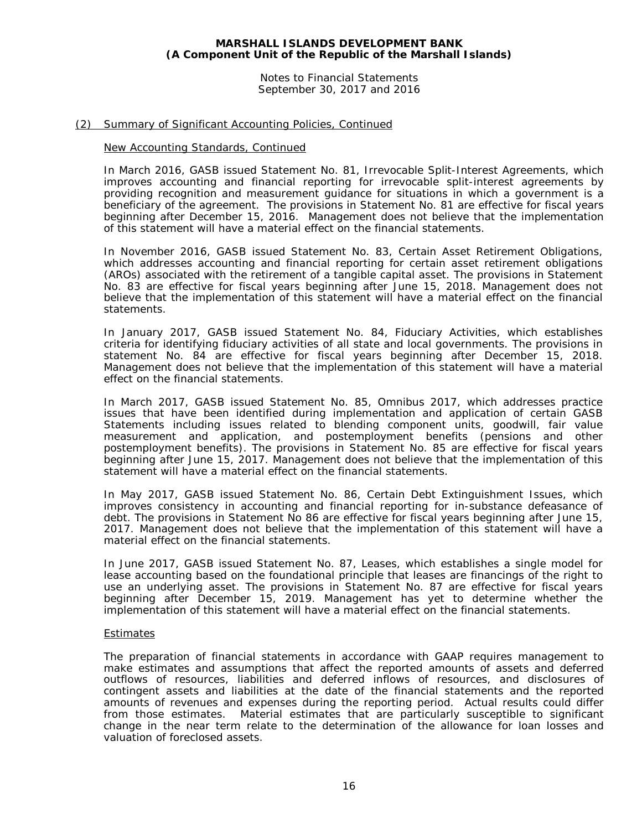Notes to Financial Statements September 30, 2017 and 2016

#### (2) Summary of Significant Accounting Policies, Continued

#### New Accounting Standards, Continued

In March 2016, GASB issued Statement No. 81, *Irrevocable Split-Interest Agreements*, which improves accounting and financial reporting for irrevocable split-interest agreements by providing recognition and measurement guidance for situations in which a government is a beneficiary of the agreement. The provisions in Statement No. 81 are effective for fiscal years beginning after December 15, 2016. Management does not believe that the implementation of this statement will have a material effect on the financial statements.

In November 2016, GASB issued Statement No. 83, *Certain Asset Retirement Obligations*, which addresses accounting and financial reporting for certain asset retirement obligations (AROs) associated with the retirement of a tangible capital asset. The provisions in Statement No. 83 are effective for fiscal years beginning after June 15, 2018. Management does not believe that the implementation of this statement will have a material effect on the financial statements.

In January 2017, GASB issued Statement No. 84, *Fiduciary Activities*, which establishes criteria for identifying fiduciary activities of all state and local governments. The provisions in statement No. 84 are effective for fiscal years beginning after December 15, 2018. Management does not believe that the implementation of this statement will have a material effect on the financial statements.

In March 2017, GASB issued Statement No. 85, *Omnibus 2017*, which addresses practice issues that have been identified during implementation and application of certain GASB Statements including issues related to blending component units, goodwill, fair value measurement and application, and postemployment benefits (pensions and other postemployment benefits). The provisions in Statement No. 85 are effective for fiscal years beginning after June 15, 2017. Management does not believe that the implementation of this statement will have a material effect on the financial statements.

In May 2017, GASB issued Statement No. 86, *Certain Debt Extinguishment Issues*, which improves consistency in accounting and financial reporting for in-substance defeasance of debt. The provisions in Statement No 86 are effective for fiscal years beginning after June 15, 2017. Management does not believe that the implementation of this statement will have a material effect on the financial statements.

In June 2017, GASB issued Statement No. 87, *Leases*, which establishes a single model for lease accounting based on the foundational principle that leases are financings of the right to use an underlying asset. The provisions in Statement No. 87 are effective for fiscal years beginning after December 15, 2019. Management has yet to determine whether the implementation of this statement will have a material effect on the financial statements.

#### **Estimates**

The preparation of financial statements in accordance with GAAP requires management to make estimates and assumptions that affect the reported amounts of assets and deferred outflows of resources, liabilities and deferred inflows of resources, and disclosures of contingent assets and liabilities at the date of the financial statements and the reported amounts of revenues and expenses during the reporting period. Actual results could differ from those estimates. Material estimates that are particularly susceptible to significant change in the near term relate to the determination of the allowance for loan losses and valuation of foreclosed assets.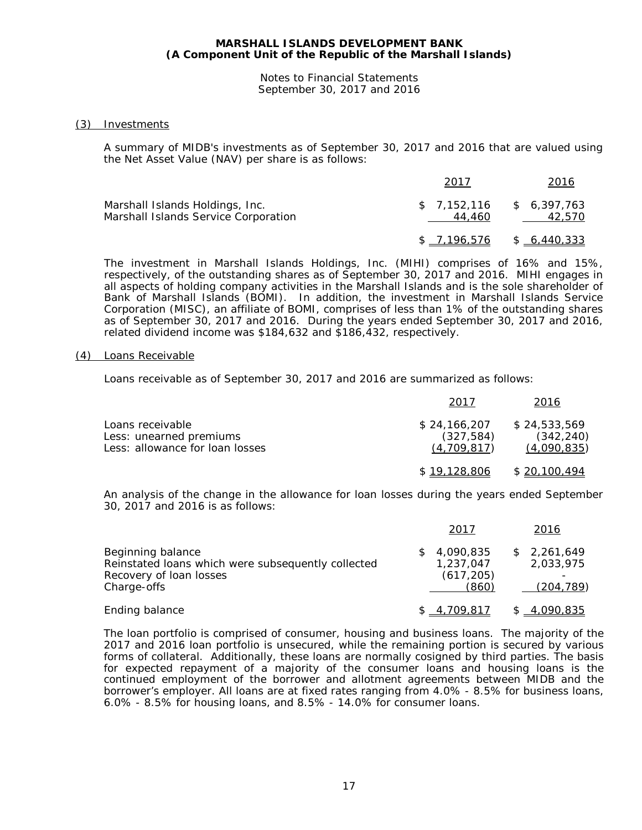Notes to Financial Statements September 30, 2017 and 2016

#### (3) Investments

A summary of MIDB's investments as of September 30, 2017 and 2016 that are valued using the Net Asset Value (NAV) per share is as follows:

|                                                                         | 2017                  | 2016                   |
|-------------------------------------------------------------------------|-----------------------|------------------------|
| Marshall Islands Holdings, Inc.<br>Marshall Islands Service Corporation | \$7.152.116<br>44.460 | \$ 6,397,763<br>42.570 |
|                                                                         | \$ 7.196.576          | \$ 6,440,333           |

The investment in Marshall Islands Holdings, Inc. (MIHI) comprises of 16% and 15%, respectively, of the outstanding shares as of September 30, 2017 and 2016. MIHI engages in all aspects of holding company activities in the Marshall Islands and is the sole shareholder of Bank of Marshall Islands (BOMI). In addition, the investment in Marshall Islands Service Corporation (MISC), an affiliate of BOMI, comprises of less than 1% of the outstanding shares as of September 30, 2017 and 2016. During the years ended September 30, 2017 and 2016, related dividend income was \$184,632 and \$186,432, respectively.

#### (4) Loans Receivable

Loans receivable as of September 30, 2017 and 2016 are summarized as follows:

|                                                                                | 2017                                      | 2016                                      |
|--------------------------------------------------------------------------------|-------------------------------------------|-------------------------------------------|
| Loans receivable<br>Less: unearned premiums<br>Less: allowance for loan losses | \$24,166,207<br>(327, 584)<br>(4.709.817) | \$24,533,569<br>(342, 240)<br>(4,090,835) |
|                                                                                | \$19,128,806                              | \$20,100,494                              |

An analysis of the change in the allowance for loan losses during the years ended September 30, 2017 and 2016 is as follows:

|                                                                                                                   | 2017                                          | 2016                                   |
|-------------------------------------------------------------------------------------------------------------------|-----------------------------------------------|----------------------------------------|
| Beginning balance<br>Reinstated loans which were subsequently collected<br>Recovery of Ioan losses<br>Charge-offs | 4,090,835<br>1,237,047<br>(617, 205)<br>(860) | \$2,261,649<br>2,033,975<br>(204, 789) |
| Ending balance                                                                                                    | 4,709,817                                     | 4.090.835                              |

The loan portfolio is comprised of consumer, housing and business loans. The majority of the 2017 and 2016 loan portfolio is unsecured, while the remaining portion is secured by various forms of collateral. Additionally, these loans are normally cosigned by third parties. The basis for expected repayment of a majority of the consumer loans and housing loans is the continued employment of the borrower and allotment agreements between MIDB and the borrower's employer. All loans are at fixed rates ranging from 4.0% - 8.5% for business loans, 6.0% - 8.5% for housing loans, and 8.5% - 14.0% for consumer loans.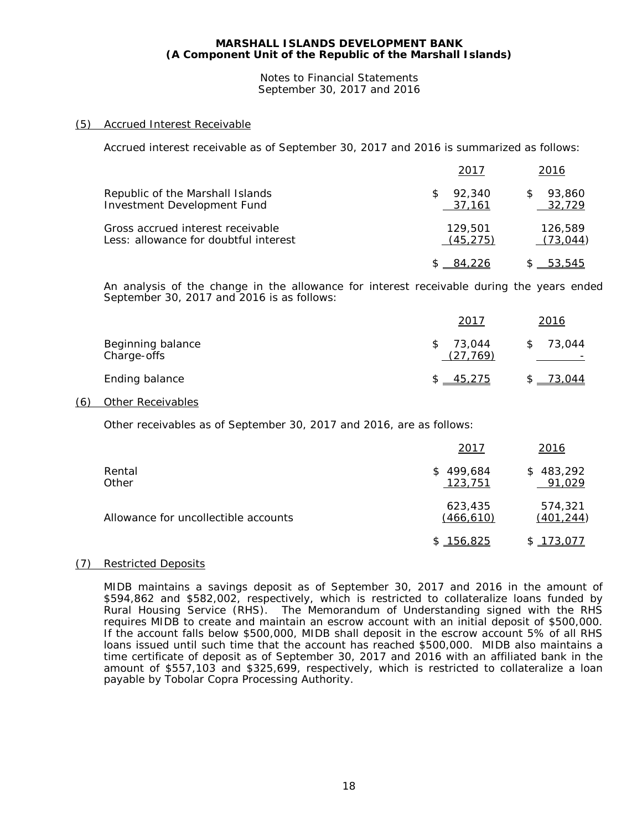Notes to Financial Statements September 30, 2017 and 2016

### (5) Accrued Interest Receivable

Accrued interest receivable as of September 30, 2017 and 2016 is summarized as follows:

|                                       | 2017      | 2016      |
|---------------------------------------|-----------|-----------|
| Republic of the Marshall Islands      | 92,340    | 93,860    |
| Investment Development Fund           | 37,161    | 32,729    |
| Gross accrued interest receivable     | 129,501   | 126,589   |
| Less: allowance for doubtful interest | (45, 275) | (73, 044) |
|                                       | 84.226    | 53.545    |

An analysis of the change in the allowance for interest receivable during the years ended September 30, 2017 and 2016 is as follows:

|                                  | 2017                | 2016   |
|----------------------------------|---------------------|--------|
| Beginning balance<br>Charge-offs | 73.044<br>(27, 769) | 73,044 |
| Ending balance                   | 45.275              | 73.044 |

#### (6) Other Receivables

Other receivables as of September 30, 2017 and 2016, are as follows:

|                                      | 2017                  | 2016                  |
|--------------------------------------|-----------------------|-----------------------|
| Rental<br>Other                      | \$499,684<br>123,751  | \$483,292<br>91,029   |
| Allowance for uncollectible accounts | 623,435<br>(466, 610) | 574,321<br>(401, 244) |
|                                      | \$156,825             | \$173,077             |

#### (7) Restricted Deposits

MIDB maintains a savings deposit as of September 30, 2017 and 2016 in the amount of \$594,862 and \$582,002, respectively, which is restricted to collateralize loans funded by Rural Housing Service (RHS). The Memorandum of Understanding signed with the RHS requires MIDB to create and maintain an escrow account with an initial deposit of \$500,000. If the account falls below \$500,000, MIDB shall deposit in the escrow account 5% of all RHS loans issued until such time that the account has reached \$500,000. MIDB also maintains a time certificate of deposit as of September 30, 2017 and 2016 with an affiliated bank in the amount of \$557,103 and \$325,699, respectively, which is restricted to collateralize a loan payable by Tobolar Copra Processing Authority.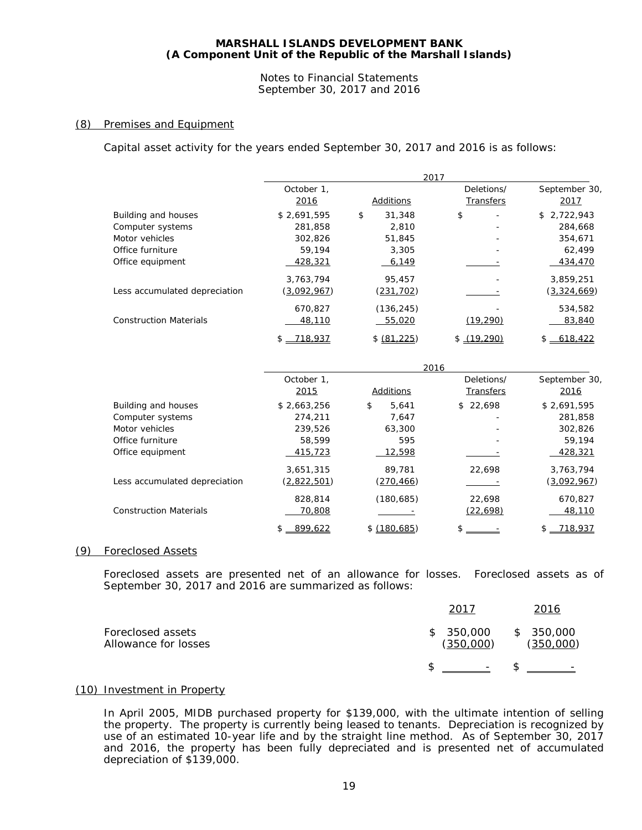Notes to Financial Statements September 30, 2017 and 2016

#### (8) Premises and Equipment

Capital asset activity for the years ended September 30, 2017 and 2016 is as follows:

|                                    | 2017                     |    |                      |    |                         |                          |
|------------------------------------|--------------------------|----|----------------------|----|-------------------------|--------------------------|
|                                    | October 1.<br>2016       |    | Additions            |    | Deletions/<br>Transfers | September 30,<br>2017    |
| Building and houses                | \$2.691.595              | \$ | 31,348               | \$ |                         | 2.722.943<br>\$          |
| Computer systems<br>Motor vehicles | 281,858<br>302.826       |    | 2.810<br>51,845      |    |                         | 284,668<br>354.671       |
| Office furniture                   | 59.194                   |    | 3,305                |    |                         | 62,499                   |
| Office equipment                   | 428,321                  |    | 6,149                |    |                         | 434,470                  |
| Less accumulated depreciation      | 3,763,794<br>(3,092,967) |    | 95,457<br>(231,702)  |    |                         | 3,859,251<br>(3,324,669) |
| <b>Construction Materials</b>      | 670,827<br>48,110        |    | (136, 245)<br>55,020 |    | (19, 290)               | 534,582<br>83,840        |
|                                    | $$ -718.937$             |    | \$ (81.225)          |    | \$(19.290)              | \$618.422                |

|                               |                    | 2016             |                                |                       |
|-------------------------------|--------------------|------------------|--------------------------------|-----------------------|
|                               | October 1,<br>2015 | Additions        | Deletions/<br><b>Transfers</b> | September 30,<br>2016 |
| Building and houses           | \$2.663.256        | \$<br>5,641      | \$22,698                       | \$2.691.595           |
| Computer systems              | 274,211            | 7,647            |                                | 281,858               |
| Motor vehicles                | 239.526            | 63,300           |                                | 302.826               |
| Office furniture              | 58,599             | 595              |                                | 59.194                |
| Office equipment              | 415,723            | 12,598           |                                | 428,321               |
|                               | 3,651,315          | 89,781           | 22.698                         | 3,763,794             |
| Less accumulated depreciation | <u>(2,822,501)</u> | <u>(270,466)</u> |                                | <u>(3,092,967)</u>    |
|                               | 828,814            | (180, 685)       | 22,698                         | 670,827               |
| <b>Construction Materials</b> | 70,808             |                  | (22, 698)                      | 48,110                |
|                               | 899,622<br>S.      | \$ (180.685)     | \$.                            | 718.937<br>S.         |

#### (9) Foreclosed Assets

Foreclosed assets are presented net of an allowance for losses. Foreclosed assets as of September 30, 2017 and 2016 are summarized as follows:

|                                           | 201.                 | 2016                   |
|-------------------------------------------|----------------------|------------------------|
| Foreclosed assets<br>Allowance for losses | 350,000<br>(350,000) | \$350,000<br>(350,000) |
|                                           | $S \qquad -$         |                        |

#### (10) Investment in Property

In April 2005, MIDB purchased property for \$139,000, with the ultimate intention of selling the property. The property is currently being leased to tenants. Depreciation is recognized by use of an estimated 10-year life and by the straight line method. As of September 30, 2017 and 2016, the property has been fully depreciated and is presented net of accumulated depreciation of \$139,000.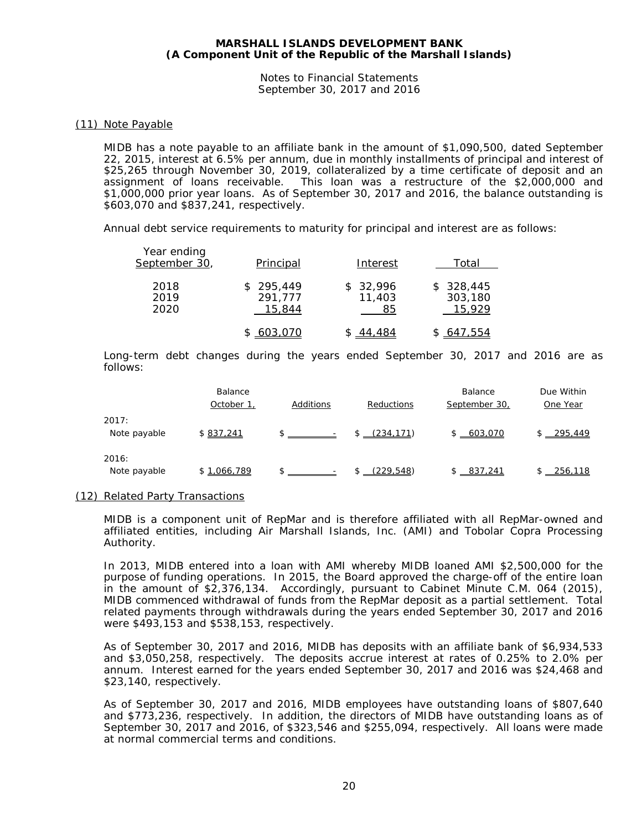Notes to Financial Statements September 30, 2017 and 2016

#### (11) Note Payable

MIDB has a note payable to an affiliate bank in the amount of \$1,090,500, dated September 22, 2015, interest at 6.5% per annum, due in monthly installments of principal and interest of \$25,265 through November 30, 2019, collateralized by a time certificate of deposit and an assignment of loans receivable. This loan was a restructure of the \$2,000,000 and \$1,000,000 prior year loans. As of September 30, 2017 and 2016, the balance outstanding is \$603,070 and \$837,241, respectively.

Annual debt service requirements to maturity for principal and interest are as follows:

| Year ending<br>September 30, | Principal                      | Interest                 | Total                          |
|------------------------------|--------------------------------|--------------------------|--------------------------------|
| 2018<br>2019<br>2020         | \$295,449<br>291,777<br>15,844 | \$32,996<br>11,403<br>85 | \$328,445<br>303,180<br>15,929 |
|                              | 603,070                        | -44.484                  | 647.554                        |

Long-term debt changes during the years ended September 30, 2017 and 2016 are as follows:

|                       | Balance     |           |                   | Balance       | Due Within |
|-----------------------|-------------|-----------|-------------------|---------------|------------|
|                       | October 1   | Additions | <b>Reductions</b> | September 30, | One Year   |
| 2017:<br>Note payable | \$837,241   |           | (234, 171)        | 603,070<br>\$ | 295,449    |
| 2016:<br>Note payable | \$1,066,789 |           | (229, 548)        | \$837,241     | 256,118    |

# (12) Related Party Transactions

MIDB is a component unit of RepMar and is therefore affiliated with all RepMar-owned and affiliated entities, including Air Marshall Islands, Inc. (AMI) and Tobolar Copra Processing Authority.

In 2013, MIDB entered into a loan with AMI whereby MIDB loaned AMI \$2,500,000 for the purpose of funding operations. In 2015, the Board approved the charge-off of the entire loan in the amount of \$2,376,134. Accordingly, pursuant to Cabinet Minute C.M. 064 (2015), MIDB commenced withdrawal of funds from the RepMar deposit as a partial settlement. Total related payments through withdrawals during the years ended September 30, 2017 and 2016 were \$493,153 and \$538,153, respectively.

As of September 30, 2017 and 2016, MIDB has deposits with an affiliate bank of \$6,934,533 and \$3,050,258, respectively. The deposits accrue interest at rates of 0.25% to 2.0% per annum. Interest earned for the years ended September 30, 2017 and 2016 was \$24,468 and \$23,140, respectively.

As of September 30, 2017 and 2016, MIDB employees have outstanding loans of \$807,640 and \$773,236, respectively. In addition, the directors of MIDB have outstanding loans as of September 30, 2017 and 2016, of \$323,546 and \$255,094, respectively. All loans were made at normal commercial terms and conditions.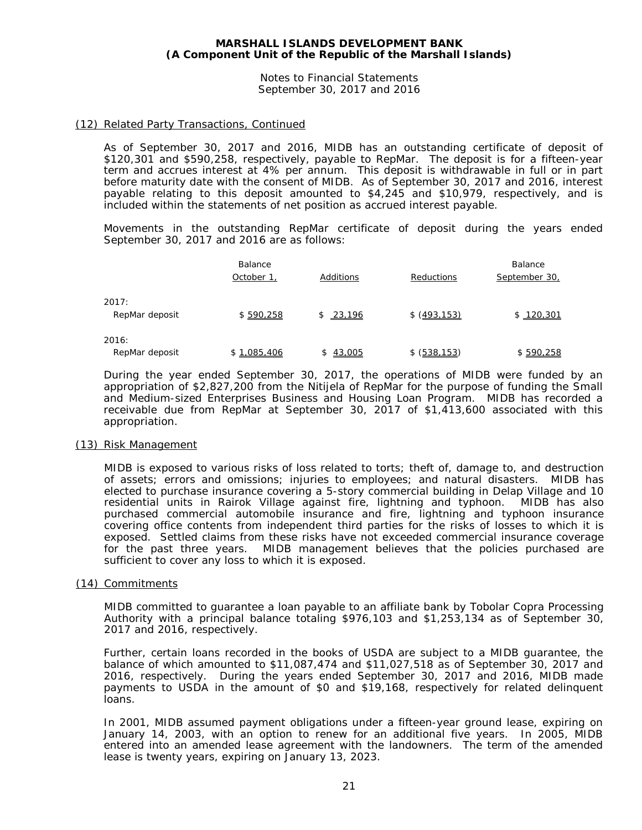Notes to Financial Statements September 30, 2017 and 2016

#### (12) Related Party Transactions, Continued

As of September 30, 2017 and 2016, MIDB has an outstanding certificate of deposit of \$120,301 and \$590,258, respectively, payable to RepMar. The deposit is for a fifteen-year term and accrues interest at 4% per annum. This deposit is withdrawable in full or in part before maturity date with the consent of MIDB. As of September 30, 2017 and 2016, interest payable relating to this deposit amounted to \$4,245 and \$10,979, respectively, and is included within the statements of net position as accrued interest payable.

Movements in the outstanding RepMar certificate of deposit during the years ended September 30, 2017 and 2016 are as follows:

|                | Balance     |              |               | Balance       |
|----------------|-------------|--------------|---------------|---------------|
|                | October 1   | Additions    | Reductions    | September 30, |
| 2017:          |             |              |               |               |
| RepMar deposit | \$590.258   | 23.196<br>S. | \$ (493, 153) | \$120.301     |
| 2016:          |             |              |               |               |
| RepMar deposit | \$1,085,406 | 43,005       | \$ (538, 153) | \$590,258     |

During the year ended September 30, 2017, the operations of MIDB were funded by an appropriation of \$2,827,200 from the Nitijela of RepMar for the purpose of funding the Small and Medium-sized Enterprises Business and Housing Loan Program. MIDB has recorded a receivable due from RepMar at September 30, 2017 of \$1,413,600 associated with this appropriation.

#### (13) Risk Management

MIDB is exposed to various risks of loss related to torts; theft of, damage to, and destruction of assets; errors and omissions; injuries to employees; and natural disasters. MIDB has elected to purchase insurance covering a 5-story commercial building in Delap Village and 10 residential units in Rairok Village against fire, lightning and typhoon. MIDB has also purchased commercial automobile insurance and fire, lightning and typhoon insurance covering office contents from independent third parties for the risks of losses to which it is exposed. Settled claims from these risks have not exceeded commercial insurance coverage for the past three years. MIDB management believes that the policies purchased are MIDB management believes that the policies purchased are sufficient to cover any loss to which it is exposed.

#### (14) Commitments

MIDB committed to guarantee a loan payable to an affiliate bank by Tobolar Copra Processing Authority with a principal balance totaling \$976,103 and \$1,253,134 as of September 30, 2017 and 2016, respectively.

Further, certain loans recorded in the books of USDA are subject to a MIDB guarantee, the balance of which amounted to \$11,087,474 and \$11,027,518 as of September 30, 2017 and 2016, respectively. During the years ended September 30, 2017 and 2016, MIDB made payments to USDA in the amount of \$0 and \$19,168, respectively for related delinquent loans.

In 2001, MIDB assumed payment obligations under a fifteen-year ground lease, expiring on January 14, 2003, with an option to renew for an additional five years. In 2005, MIDB entered into an amended lease agreement with the landowners. The term of the amended lease is twenty years, expiring on January 13, 2023.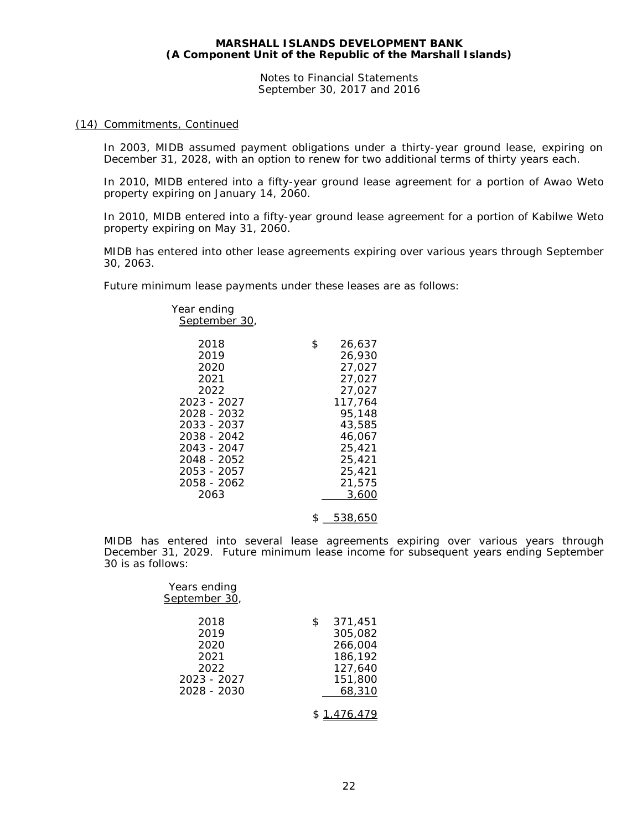Notes to Financial Statements September 30, 2017 and 2016

#### (14) Commitments, Continued

Year ending

In 2003, MIDB assumed payment obligations under a thirty-year ground lease, expiring on December 31, 2028, with an option to renew for two additional terms of thirty years each.

In 2010, MIDB entered into a fifty-year ground lease agreement for a portion of Awao Weto property expiring on January 14, 2060.

In 2010, MIDB entered into a fifty-year ground lease agreement for a portion of Kabilwe Weto property expiring on May 31, 2060.

MIDB has entered into other lease agreements expiring over various years through September 30, 2063.

Future minimum lease payments under these leases are as follows:

| September 30,                                                                                                                                                        |                                                                                                                                                |
|----------------------------------------------------------------------------------------------------------------------------------------------------------------------|------------------------------------------------------------------------------------------------------------------------------------------------|
| 2018<br>2019<br>2020<br>2021<br>2022<br>2023 - 2027<br>2028 - 2032<br>2033 - 2037<br>2038 - 2042<br>2043 - 2047<br>2048 - 2052<br>2053 - 2057<br>2058 - 2062<br>2063 | \$<br>26.637<br>26,930<br>27.027<br>27,027<br>27.027<br>117,764<br>95,148<br>43,585<br>46.067<br>25,421<br>25,421<br>25,421<br>21,575<br>3,600 |
|                                                                                                                                                                      | \$<br>538,650                                                                                                                                  |

MIDB has entered into several lease agreements expiring over various years through December 31, 2029. Future minimum lease income for subsequent years ending September 30 is as follows:

| Years ending<br>September 30, |               |
|-------------------------------|---------------|
|                               |               |
| 2018                          | \$<br>371,451 |
| 2019                          | 305,082       |
| 2020                          | 266.004       |
| 2021                          | 186,192       |
| 2022                          | 127.640       |
| 2023 - 2027                   | 151,800       |
| 2028 - 2030                   | 68,310        |
|                               |               |
|                               | \$1.476.      |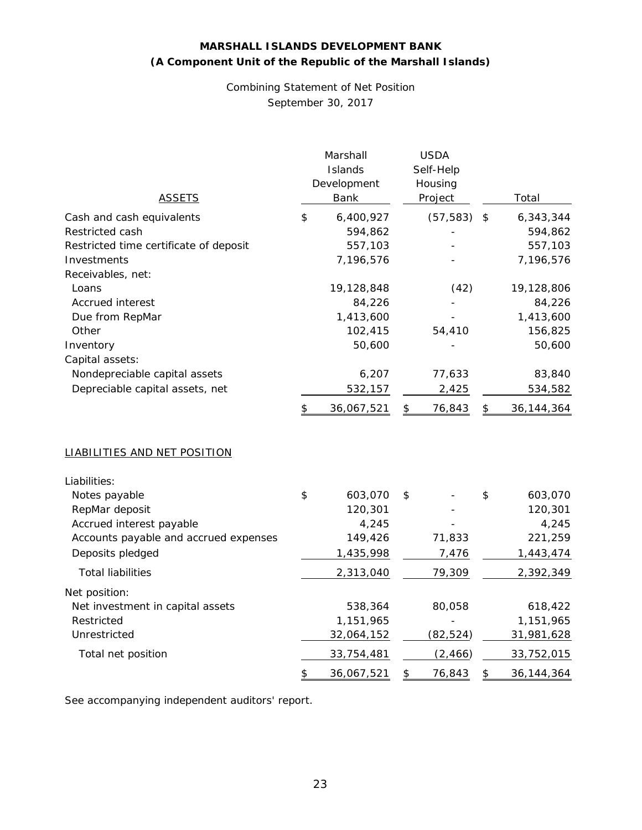# Combining Statement of Net Position September 30, 2017

| <b>ASSETS</b>                          | Marshall<br>Islands<br>Development<br><b>Bank</b> |                | <b>USDA</b><br>Self-Help<br>Housing<br>Project | Total              |
|----------------------------------------|---------------------------------------------------|----------------|------------------------------------------------|--------------------|
| Cash and cash equivalents              | \$<br>6,400,927                                   |                | (57, 583)                                      | \$<br>6,343,344    |
| Restricted cash                        | 594,862                                           |                |                                                | 594,862            |
| Restricted time certificate of deposit | 557,103                                           |                |                                                | 557,103            |
| Investments                            | 7,196,576                                         |                |                                                | 7,196,576          |
| Receivables, net:                      |                                                   |                |                                                |                    |
| Loans                                  | 19,128,848                                        |                | (42)                                           | 19,128,806         |
| <b>Accrued interest</b>                | 84,226                                            |                |                                                | 84,226             |
| Due from RepMar                        | 1,413,600                                         |                |                                                | 1,413,600          |
| Other                                  | 102,415                                           |                | 54,410                                         | 156,825            |
| Inventory                              | 50,600                                            |                |                                                | 50,600             |
| Capital assets:                        |                                                   |                |                                                |                    |
| Nondepreciable capital assets          | 6,207                                             |                | 77,633                                         | 83,840             |
| Depreciable capital assets, net        | 532,157                                           |                | 2,425                                          | 534,582            |
|                                        | \$<br>36,067,521                                  | $$\mathbb{S}$$ | 76,843                                         | \$<br>36, 144, 364 |
| <b>LIABILITIES AND NET POSITION</b>    |                                                   |                |                                                |                    |
| Liabilities:                           |                                                   |                |                                                |                    |
| Notes payable                          | \$<br>603,070                                     | \$             |                                                | \$<br>603,070      |
| RepMar deposit                         | 120,301                                           |                |                                                | 120,301            |
| Accrued interest payable               | 4,245                                             |                |                                                | 4,245              |
| Accounts payable and accrued expenses  | 149,426                                           |                | 71,833                                         | 221,259            |
| Deposits pledged                       | 1,435,998                                         |                | 7,476                                          | 1,443,474          |
| <b>Total liabilities</b>               | 2,313,040                                         |                | 79,309                                         | 2,392,349          |
| Net position:                          |                                                   |                |                                                |                    |
| Net investment in capital assets       | 538,364                                           |                | 80,058                                         | 618,422            |
| Restricted                             | 1,151,965                                         |                |                                                | 1,151,965          |
| Unrestricted                           | 32,064,152                                        |                | (82, 524)                                      | 31,981,628         |
| Total net position                     | 33,754,481                                        |                | (2, 466)                                       | 33,752,015         |
|                                        | \$<br>36,067,521                                  | \$             | 76,843                                         | \$<br>36, 144, 364 |

See accompanying independent auditors' report.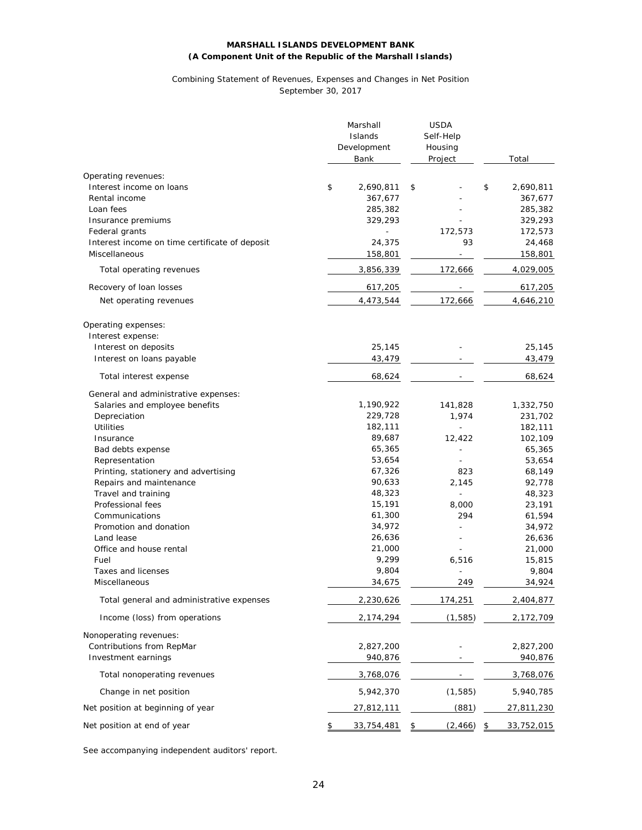# Combining Statement of Revenues, Expenses and Changes in Net Position

September 30, 2017

|                                                | Marshall<br>Islands<br>Development<br>Bank |                  | <b>USDA</b><br>Self-Help<br>Housing<br>Project |    | Total            |  |
|------------------------------------------------|--------------------------------------------|------------------|------------------------------------------------|----|------------------|--|
| Operating revenues:                            |                                            |                  |                                                |    |                  |  |
| Interest income on loans                       | \$                                         | 2,690,811<br>\$  |                                                | \$ | 2,690,811        |  |
| Rental income                                  |                                            | 367,677          |                                                |    | 367,677          |  |
| Loan fees                                      |                                            | 285,382          |                                                |    | 285,382          |  |
| Insurance premiums                             |                                            | 329,293          |                                                |    | 329,293          |  |
| Federal grants                                 |                                            | ÷,               | 172,573                                        |    | 172,573          |  |
| Interest income on time certificate of deposit |                                            | 24,375           | 93                                             |    | 24,468           |  |
| <b>Miscellaneous</b>                           |                                            | 158,801          |                                                |    | 158,801          |  |
| Total operating revenues                       |                                            | 3,856,339        | 172,666                                        |    | 4,029,005        |  |
| Recovery of loan losses                        |                                            | 617,205          |                                                |    | 617,205          |  |
| Net operating revenues                         |                                            | 4,473,544        | 172,666                                        |    | 4,646,210        |  |
| Operating expenses:                            |                                            |                  |                                                |    |                  |  |
| Interest expense:                              |                                            |                  |                                                |    |                  |  |
| Interest on deposits                           |                                            | 25,145           |                                                |    | 25,145           |  |
| Interest on loans payable                      |                                            | 43,479           |                                                |    | 43,479           |  |
| Total interest expense                         |                                            | 68,624           |                                                |    | 68,624           |  |
| General and administrative expenses:           |                                            |                  |                                                |    |                  |  |
| Salaries and employee benefits                 |                                            | 1,190,922        | 141,828                                        |    | 1,332,750        |  |
| Depreciation                                   |                                            | 229,728          | 1,974                                          |    | 231,702          |  |
| Utilities                                      |                                            | 182,111          |                                                |    | 182,111          |  |
| Insurance                                      |                                            | 89,687           | 12,422                                         |    | 102,109          |  |
| Bad debts expense                              |                                            | 65,365           |                                                |    | 65,365           |  |
| Representation                                 |                                            | 53,654           |                                                |    | 53,654           |  |
| Printing, stationery and advertising           |                                            | 67,326           | 823                                            |    | 68,149           |  |
| Repairs and maintenance                        |                                            | 90,633           | 2,145                                          |    | 92,778           |  |
| Travel and training                            |                                            | 48,323           |                                                |    | 48,323           |  |
| Professional fees                              |                                            | 15,191           | 8,000                                          |    | 23,191           |  |
| Communications                                 |                                            | 61,300           | 294                                            |    | 61,594           |  |
| Promotion and donation                         |                                            | 34,972           |                                                |    | 34,972           |  |
| Land lease                                     |                                            | 26,636<br>21,000 |                                                |    | 26,636           |  |
| Office and house rental<br>Fuel                |                                            | 9,299            | 6,516                                          |    | 21,000<br>15,815 |  |
| Taxes and licenses                             |                                            | 9,804            | $\overline{\phantom{a}}$                       |    | 9,804            |  |
| Miscellaneous                                  |                                            | 34,675           | 249                                            |    | 34,924           |  |
| Total general and administrative expenses      |                                            | 2,230,626        | 174,251                                        |    | 2,404,877        |  |
| Income (loss) from operations                  |                                            | 2,174,294        | (1, 585)                                       |    | 2,172,709        |  |
| Nonoperating revenues:                         |                                            |                  |                                                |    |                  |  |
| Contributions from RepMar                      |                                            | 2,827,200        |                                                |    | 2,827,200        |  |
| Investment earnings                            |                                            | 940,876          |                                                |    | 940,876          |  |
| Total nonoperating revenues                    |                                            | 3,768,076        |                                                |    | 3,768,076        |  |
| Change in net position                         |                                            | 5,942,370        | (1, 585)                                       |    | 5,940,785        |  |
| Net position at beginning of year              | 27,812,111                                 |                  | (881)                                          |    | 27,811,230       |  |
| Net position at end of year                    | 33,754,481<br>\$                           | \$               | (2, 466)                                       | \$ | 33,752,015       |  |

See accompanying independent auditors' report.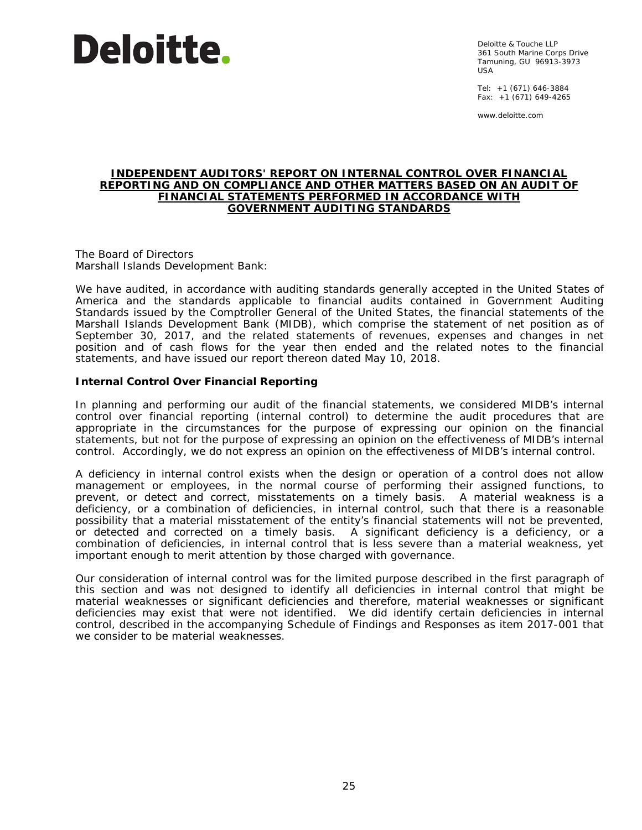

Deloitte & Touche LLP 361 South Marine Corps Drive Tamuning, GU 96913-3973 USA

Tel: +1 (671) 646-3884 Fax:  $+1$  (671) 649-4265

www.deloitte.com

#### **INDEPENDENT AUDITORS' REPORT ON INTERNAL CONTROL OVER FINANCIAL REPORTING AND ON COMPLIANCE AND OTHER MATTERS BASED ON AN AUDIT OF FINANCIAL STATEMENTS PERFORMED IN ACCORDANCE WITH**  *GOVERNMENT AUDITING STANDARDS*

The Board of Directors Marshall Islands Development Bank:

We have audited, in accordance with auditing standards generally accepted in the United States of America and the standards applicable to financial audits contained in *Government Auditing Standards* issued by the Comptroller General of the United States, the financial statements of the Marshall Islands Development Bank (MIDB), which comprise the statement of net position as of September 30, 2017, and the related statements of revenues, expenses and changes in net position and of cash flows for the year then ended and the related notes to the financial statements, and have issued our report thereon dated May 10, 2018.

# **Internal Control Over Financial Reporting**

In planning and performing our audit of the financial statements, we considered MIDB's internal control over financial reporting (internal control) to determine the audit procedures that are appropriate in the circumstances for the purpose of expressing our opinion on the financial statements, but not for the purpose of expressing an opinion on the effectiveness of MIDB's internal control. Accordingly, we do not express an opinion on the effectiveness of MIDB's internal control.

A *deficiency in internal control* exists when the design or operation of a control does not allow management or employees, in the normal course of performing their assigned functions, to prevent, or detect and correct, misstatements on a timely basis. A *material weakness* is a deficiency, or a combination of deficiencies, in internal control, such that there is a reasonable possibility that a material misstatement of the entity's financial statements will not be prevented, or detected and corrected on a timely basis. A *significant deficiency* is a deficiency, or a combination of deficiencies, in internal control that is less severe than a material weakness, yet important enough to merit attention by those charged with governance.

Our consideration of internal control was for the limited purpose described in the first paragraph of this section and was not designed to identify all deficiencies in internal control that might be material weaknesses or significant deficiencies and therefore, material weaknesses or significant deficiencies may exist that were not identified. We did identify certain deficiencies in internal control, described in the accompanying Schedule of Findings and Responses as item 2017-001 that we consider to be material weaknesses.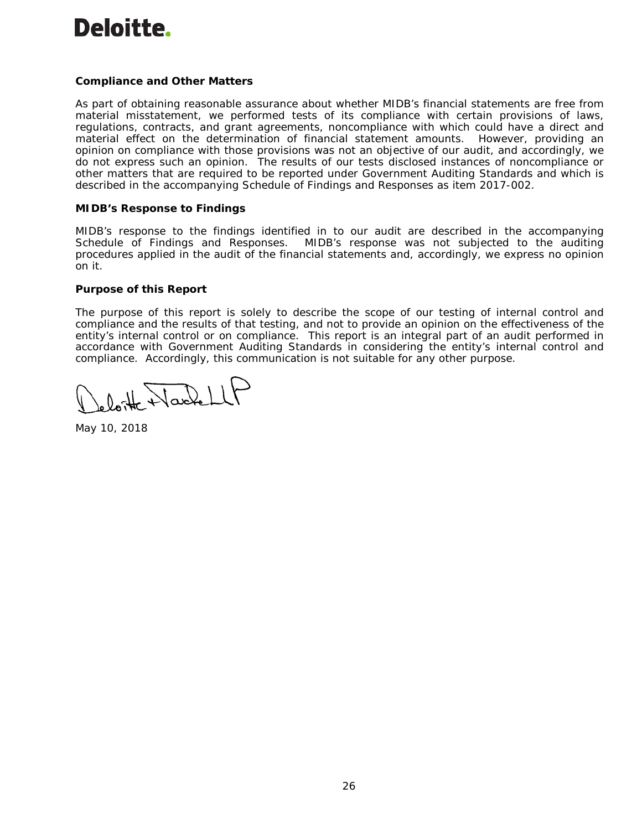# Deloitte.

# **Compliance and Other Matters**

As part of obtaining reasonable assurance about whether MIDB's financial statements are free from material misstatement, we performed tests of its compliance with certain provisions of laws, regulations, contracts, and grant agreements, noncompliance with which could have a direct and material effect on the determination of financial statement amounts. However, providing an opinion on compliance with those provisions was not an objective of our audit, and accordingly, we do not express such an opinion. The results of our tests disclosed instances of noncompliance or other matters that are required to be reported under *Government Auditing Standards* and which is described in the accompanying Schedule of Findings and Responses as item 2017-002.

#### **MIDB's Response to Findings**

MIDB's response to the findings identified in to our audit are described in the accompanying Schedule of Findings and Responses. MIDB's response was not subjected to the auditing procedures applied in the audit of the financial statements and, accordingly, we express no opinion on it.

#### **Purpose of this Report**

The purpose of this report is solely to describe the scope of our testing of internal control and compliance and the results of that testing, and not to provide an opinion on the effectiveness of the entity's internal control or on compliance. This report is an integral part of an audit performed in accordance with *Government Auditing Standards* in considering the entity's internal control and compliance. Accordingly, this communication is not suitable for any other purpose.

# Warkell

May 10, 2018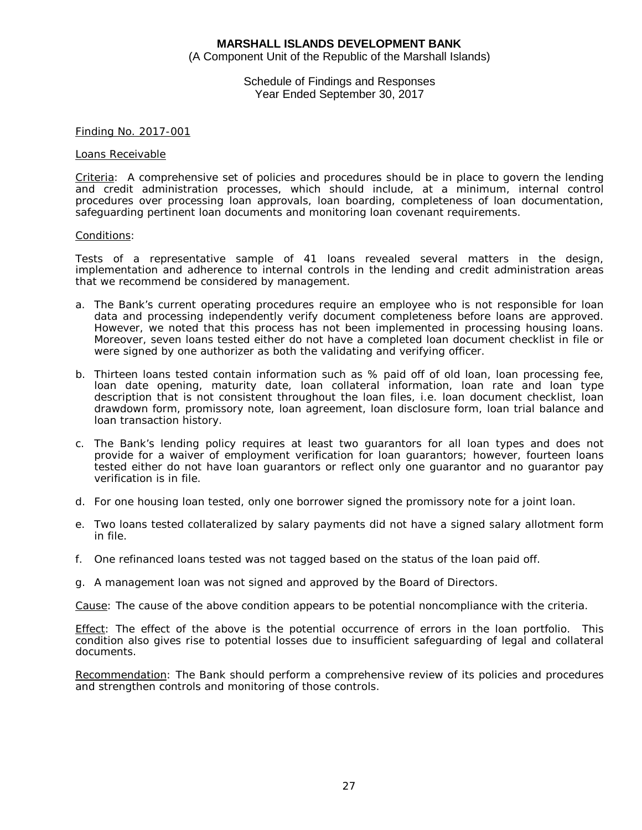(A Component Unit of the Republic of the Marshall Islands)

Schedule of Findings and Responses Year Ended September 30, 2017

#### Finding No. 2017-001

#### Loans Receivable

Criteria: A comprehensive set of policies and procedures should be in place to govern the lending and credit administration processes, which should include, at a minimum, internal control procedures over processing loan approvals, loan boarding, completeness of loan documentation, safeguarding pertinent loan documents and monitoring loan covenant requirements.

#### Conditions:

Tests of a representative sample of 41 loans revealed several matters in the design, implementation and adherence to internal controls in the lending and credit administration areas that we recommend be considered by management.

- a. The Bank's current operating procedures require an employee who is not responsible for loan data and processing independently verify document completeness before loans are approved. However, we noted that this process has not been implemented in processing housing loans. Moreover, seven loans tested either do not have a completed loan document checklist in file or were signed by one authorizer as both the validating and verifying officer.
- b. Thirteen loans tested contain information such as % paid off of old loan, loan processing fee, loan date opening, maturity date, loan collateral information, loan rate and loan type description that is not consistent throughout the loan files, i.e. loan document checklist, loan drawdown form, promissory note, loan agreement, loan disclosure form, loan trial balance and loan transaction history.
- c. The Bank's lending policy requires at least two guarantors for all loan types and does not provide for a waiver of employment verification for loan guarantors; however, fourteen loans tested either do not have loan guarantors or reflect only one guarantor and no guarantor pay verification is in file.
- d. For one housing loan tested, only one borrower signed the promissory note for a joint loan.
- e. Two loans tested collateralized by salary payments did not have a signed salary allotment form in file.
- f. One refinanced loans tested was not tagged based on the status of the loan paid off.
- g. A management loan was not signed and approved by the Board of Directors.

Cause: The cause of the above condition appears to be potential noncompliance with the criteria.

Effect: The effect of the above is the potential occurrence of errors in the loan portfolio. This condition also gives rise to potential losses due to insufficient safeguarding of legal and collateral documents.

Recommendation: The Bank should perform a comprehensive review of its policies and procedures and strengthen controls and monitoring of those controls.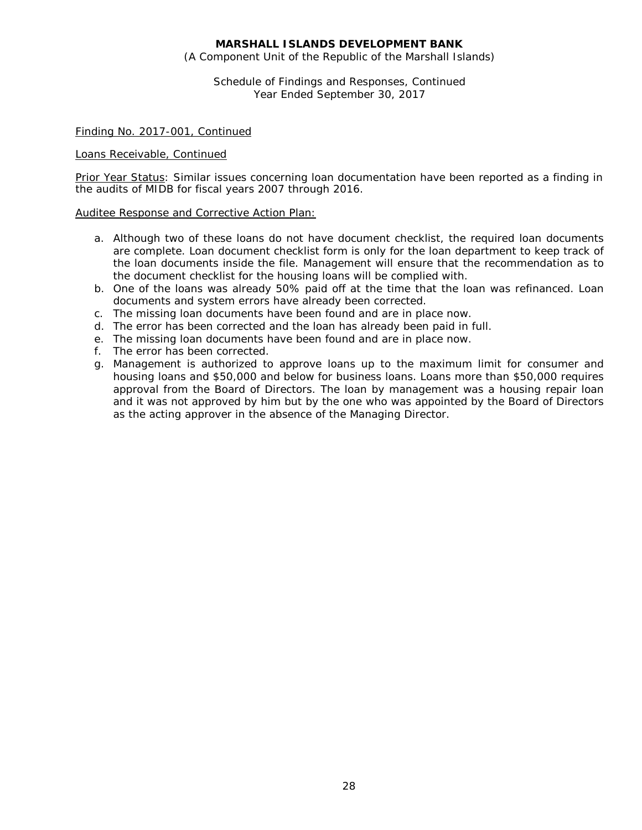(A Component Unit of the Republic of the Marshall Islands)

Schedule of Findings and Responses, Continued Year Ended September 30, 2017

# Finding No. 2017-001, Continued

#### Loans Receivable, Continued

Prior Year Status: Similar issues concerning loan documentation have been reported as a finding in the audits of MIDB for fiscal years 2007 through 2016.

# Auditee Response and Corrective Action Plan:

- a. Although two of these loans do not have document checklist, the required loan documents are complete. Loan document checklist form is only for the loan department to keep track of the loan documents inside the file. Management will ensure that the recommendation as to the document checklist for the housing loans will be complied with.
- b. One of the loans was already 50% paid off at the time that the loan was refinanced. Loan documents and system errors have already been corrected.
- c. The missing loan documents have been found and are in place now.
- d. The error has been corrected and the loan has already been paid in full.
- e. The missing loan documents have been found and are in place now.
- f. The error has been corrected.
- g. Management is authorized to approve loans up to the maximum limit for consumer and housing loans and \$50,000 and below for business loans. Loans more than \$50,000 requires approval from the Board of Directors. The loan by management was a housing repair loan and it was not approved by him but by the one who was appointed by the Board of Directors as the acting approver in the absence of the Managing Director.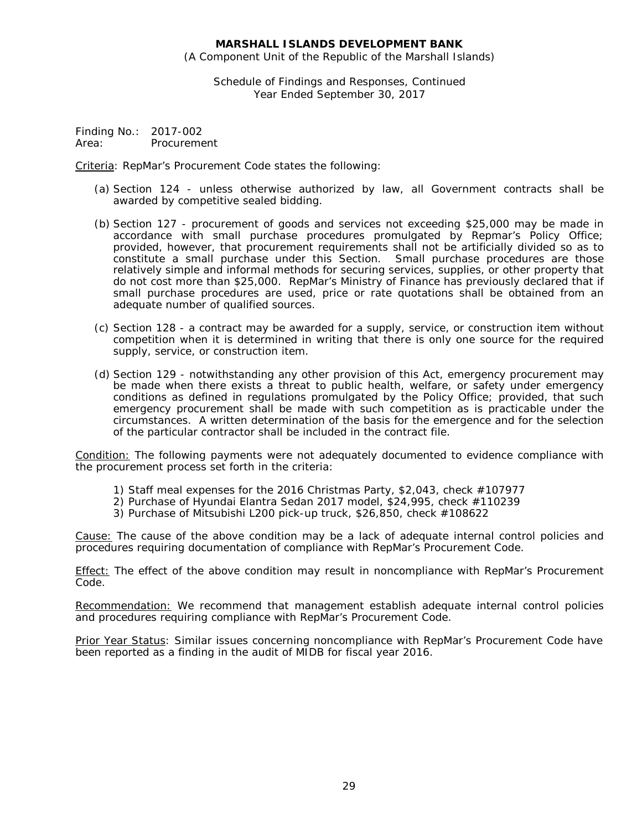(A Component Unit of the Republic of the Marshall Islands)

Schedule of Findings and Responses, Continued Year Ended September 30, 2017

Finding No.: 2017-002 Area: Procurement

Criteria: RepMar's Procurement Code states the following:

- (a) Section 124 unless otherwise authorized by law, all Government contracts shall be awarded by competitive sealed bidding.
- (b) Section 127 procurement of goods and services not exceeding \$25,000 may be made in accordance with small purchase procedures promulgated by Repmar's Policy Office; provided, however, that procurement requirements shall not be artificially divided so as to constitute a small purchase under this Section. Small purchase procedures are those relatively simple and informal methods for securing services, supplies, or other property that do not cost more than \$25,000. RepMar's Ministry of Finance has previously declared that if small purchase procedures are used, price or rate quotations shall be obtained from an adequate number of qualified sources.
- (c) Section 128 a contract may be awarded for a supply, service, or construction item without competition when it is determined in writing that there is only one source for the required supply, service, or construction item.
- (d) Section 129 notwithstanding any other provision of this Act, emergency procurement may be made when there exists a threat to public health, welfare, or safety under emergency conditions as defined in regulations promulgated by the Policy Office; provided, that such emergency procurement shall be made with such competition as is practicable under the circumstances. A written determination of the basis for the emergence and for the selection of the particular contractor shall be included in the contract file.

Condition: The following payments were not adequately documented to evidence compliance with the procurement process set forth in the criteria:

- 1) Staff meal expenses for the 2016 Christmas Party, \$2,043, check #107977
- 2) Purchase of Hyundai Elantra Sedan 2017 model, \$24,995, check #110239
- 3) Purchase of Mitsubishi L200 pick-up truck, \$26,850, check #108622

Cause: The cause of the above condition may be a lack of adequate internal control policies and procedures requiring documentation of compliance with RepMar's Procurement Code.

**Effect:** The effect of the above condition may result in noncompliance with RepMar's Procurement Code.

Recommendation: We recommend that management establish adequate internal control policies and procedures requiring compliance with RepMar's Procurement Code.

Prior Year Status: Similar issues concerning noncompliance with RepMar's Procurement Code have been reported as a finding in the audit of MIDB for fiscal year 2016.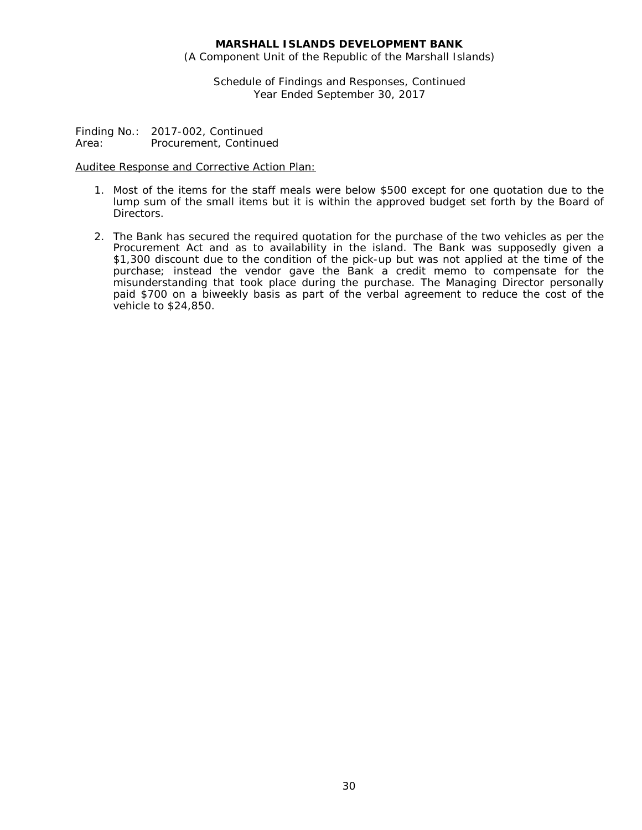(A Component Unit of the Republic of the Marshall Islands)

Schedule of Findings and Responses, Continued Year Ended September 30, 2017

Finding No.: 2017-002, Continued Area: Procurement, Continued

#### Auditee Response and Corrective Action Plan:

- 1. Most of the items for the staff meals were below \$500 except for one quotation due to the lump sum of the small items but it is within the approved budget set forth by the Board of Directors.
- 2. The Bank has secured the required quotation for the purchase of the two vehicles as per the Procurement Act and as to availability in the island. The Bank was supposedly given a \$1,300 discount due to the condition of the pick-up but was not applied at the time of the purchase; instead the vendor gave the Bank a credit memo to compensate for the misunderstanding that took place during the purchase. The Managing Director personally paid \$700 on a biweekly basis as part of the verbal agreement to reduce the cost of the vehicle to \$24,850.